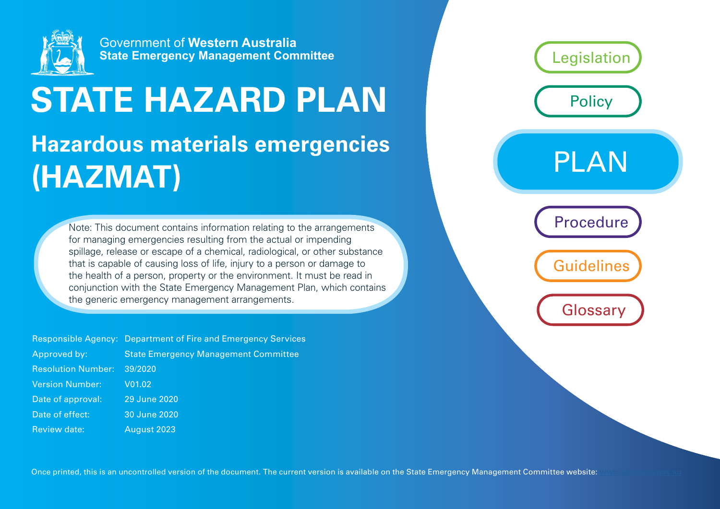

# **STATE HAZARD PLAN**

## **Hazardous materials emergencies (HAZMAT)**

Note: This document contains information relating to the arrangements for managing emergencies resulting from the actual or impending spillage, release or escape of a chemical, radiological, or other substance that is capable of causing loss of life, injury to a person or damage to the health of a person, property or the environment. It must be read in conjunction with the State Emergency Management Plan, which contains the generic emergency management arrangements.

|                           | <b>Responsible Agency: Department of Fire and Emergency Services</b> |
|---------------------------|----------------------------------------------------------------------|
| Approved by:              | <b>State Emergency Management Committee</b>                          |
| <b>Resolution Number:</b> | 39/2020                                                              |
| <b>Version Number:</b>    | V <sub>01.02</sub>                                                   |
| Date of approval:         | 29 June 2020                                                         |
| Date of effect:           | 30 June 2020                                                         |
| <b>Review date:</b>       | August 2023                                                          |

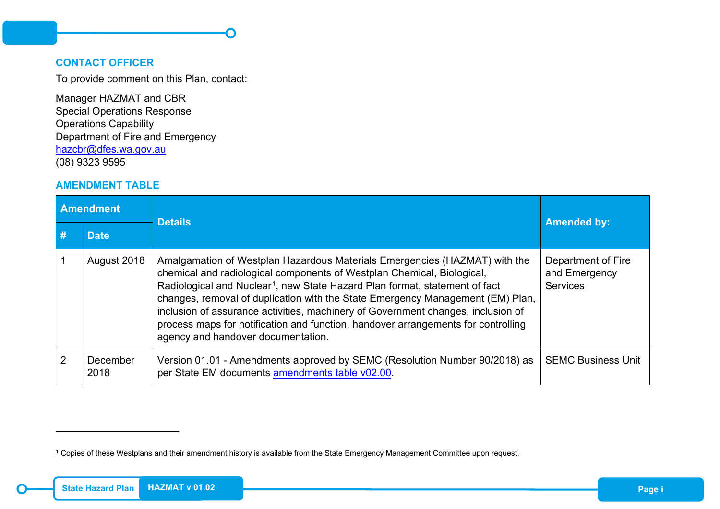#### <span id="page-1-1"></span>**CONTACT OFFICER**

To provide comment on this Plan, contact:

<span id="page-1-0"></span>r

Manager HAZMAT and CBR Special Operations Response Operations Capability Department of Fire and Emergency [hazcbr@dfes.wa.gov.au](mailto:hazcbr@dfes.wa.gov.au) (08) 9323 9595

#### <span id="page-1-2"></span>**AMENDMENT TABLE**

| <b>Amendment</b> |                  | <b>Details</b>                                                                                                                                                                                                                                                                                                                                                                                                                                                                                                                                   | <b>Amended by:</b>                                     |  |
|------------------|------------------|--------------------------------------------------------------------------------------------------------------------------------------------------------------------------------------------------------------------------------------------------------------------------------------------------------------------------------------------------------------------------------------------------------------------------------------------------------------------------------------------------------------------------------------------------|--------------------------------------------------------|--|
|                  | <b>Date</b>      |                                                                                                                                                                                                                                                                                                                                                                                                                                                                                                                                                  |                                                        |  |
|                  | August 2018      | Amalgamation of Westplan Hazardous Materials Emergencies (HAZMAT) with the<br>chemical and radiological components of Westplan Chemical, Biological,<br>Radiological and Nuclear <sup>1</sup> , new State Hazard Plan format, statement of fact<br>changes, removal of duplication with the State Emergency Management (EM) Plan,<br>inclusion of assurance activities, machinery of Government changes, inclusion of<br>process maps for notification and function, handover arrangements for controlling<br>agency and handover documentation. | Department of Fire<br>and Emergency<br><b>Services</b> |  |
|                  | December<br>2018 | Version 01.01 - Amendments approved by SEMC (Resolution Number 90/2018) as<br>per State EM documents amendments table v02.00.                                                                                                                                                                                                                                                                                                                                                                                                                    | <b>SEMC Business Unit</b>                              |  |

-

<sup>1</sup> Copies of these Westplans and their amendment history is available from the State Emergency Management Committee upon request.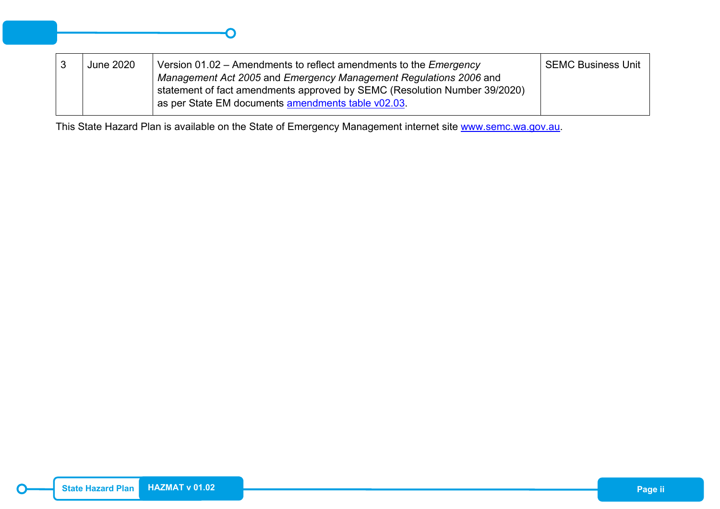| <b>June 2020</b> | Version 01.02 – Amendments to reflect amendments to the <i>Emergency</i><br>Management Act 2005 and Emergency Management Regulations 2006 and<br>statement of fact amendments approved by SEMC (Resolution Number 39/2020)<br>as per State EM documents amendments table v02.03. | <b>SEMC Business Unit</b> |
|------------------|----------------------------------------------------------------------------------------------------------------------------------------------------------------------------------------------------------------------------------------------------------------------------------|---------------------------|
|                  |                                                                                                                                                                                                                                                                                  |                           |

This State Hazard Plan is available on the State of Emergency Management internet site [www.semc.wa.gov.au.](http://www.semc.wa.gov.au/)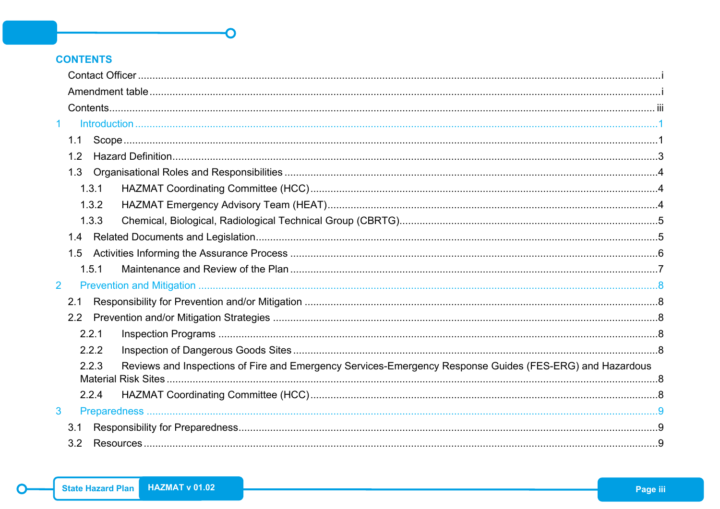## <span id="page-3-0"></span>**CONTENTS**

| $\mathbf 1$    |                                                                                                                   |  |  |
|----------------|-------------------------------------------------------------------------------------------------------------------|--|--|
|                | 1.1                                                                                                               |  |  |
|                | 1.2                                                                                                               |  |  |
|                |                                                                                                                   |  |  |
|                | 1.3.1                                                                                                             |  |  |
|                | 1.3.2                                                                                                             |  |  |
|                | 1.3.3                                                                                                             |  |  |
|                |                                                                                                                   |  |  |
|                | 1.5                                                                                                               |  |  |
|                | 1.5.1                                                                                                             |  |  |
| 2 <sup>1</sup> |                                                                                                                   |  |  |
|                | 2.1                                                                                                               |  |  |
|                |                                                                                                                   |  |  |
|                | 2.2.1                                                                                                             |  |  |
|                | 2.2.2                                                                                                             |  |  |
|                | Reviews and Inspections of Fire and Emergency Services-Emergency Response Guides (FES-ERG) and Hazardous<br>2.2.3 |  |  |
|                | 2.2.4                                                                                                             |  |  |
| 3              |                                                                                                                   |  |  |
|                | 3.1                                                                                                               |  |  |
|                | 3.2                                                                                                               |  |  |
|                |                                                                                                                   |  |  |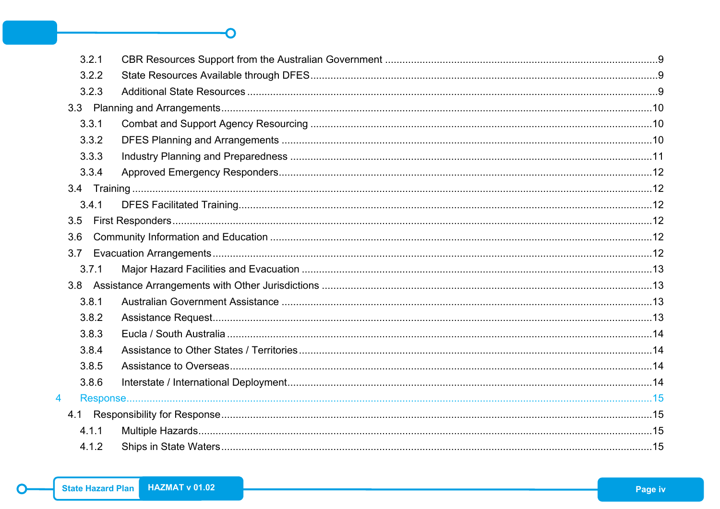| 3.2.1          |  |
|----------------|--|
| 3.2.2          |  |
| 3.2.3          |  |
|                |  |
| 3.3.1          |  |
| 3.3.2          |  |
| 3.3.3          |  |
| 3.3.4          |  |
|                |  |
| 3.4.1          |  |
| 3.5            |  |
| 3.6            |  |
| 3.7            |  |
| 3.7.1          |  |
|                |  |
| 3.8.1          |  |
| 3.8.2          |  |
| 3.8.3          |  |
| 3.8.4          |  |
| 3.8.5          |  |
| 3.8.6          |  |
| $\overline{4}$ |  |
|                |  |
| 4.1.1          |  |
| 4.1.2          |  |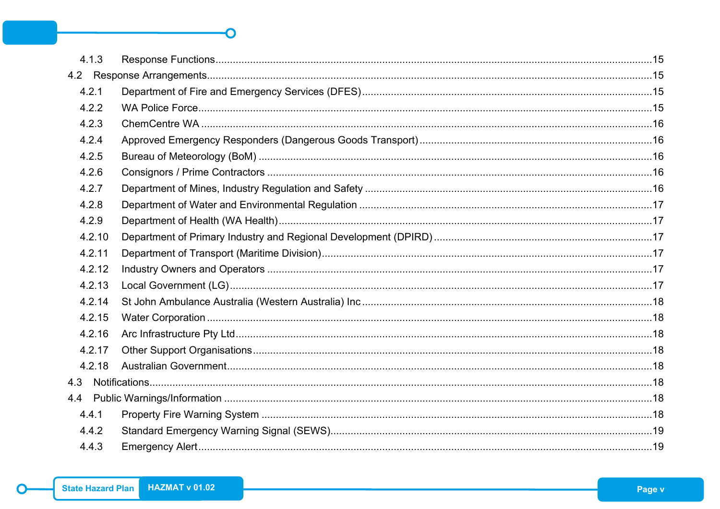| 4.1.3  |  |
|--------|--|
|        |  |
| 4.2.1  |  |
| 4.2.2  |  |
| 4.2.3  |  |
| 4.2.4  |  |
| 4.2.5  |  |
| 4.2.6  |  |
| 4.2.7  |  |
| 4.2.8  |  |
| 4.2.9  |  |
| 4.2.10 |  |
| 4.2.11 |  |
| 4.2.12 |  |
| 4.2.13 |  |
| 4.2.14 |  |
| 4.2.15 |  |
| 4.2.16 |  |
| 4.2.17 |  |
| 4.2.18 |  |
| 4.3    |  |
|        |  |
| 4.4.1  |  |
| 4.4.2  |  |
| 4.4.3  |  |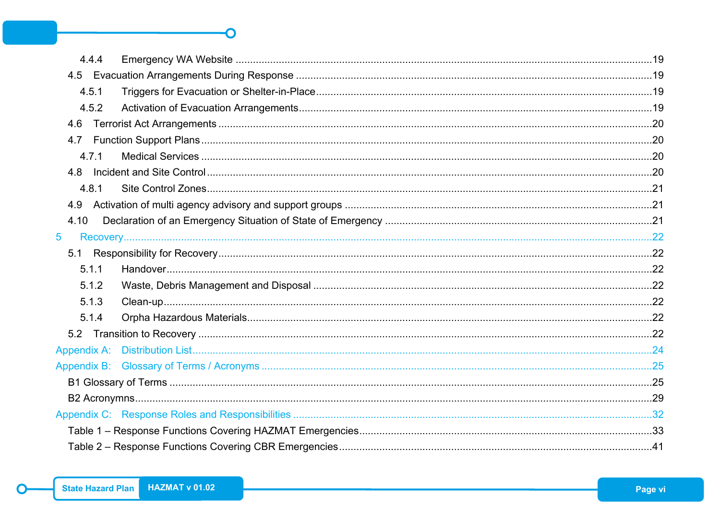| 4.4.4 |  |
|-------|--|
|       |  |
| 4.5.1 |  |
| 4.5.2 |  |
| 4.6   |  |
|       |  |
| 4.7.1 |  |
|       |  |
| 4.8.1 |  |
| 4.9   |  |
| 4.10  |  |
| 5     |  |
|       |  |
| 5.1.1 |  |
| 5.1.2 |  |
| 5.1.3 |  |
| 5.1.4 |  |
|       |  |
|       |  |
|       |  |
|       |  |
|       |  |
|       |  |
|       |  |
|       |  |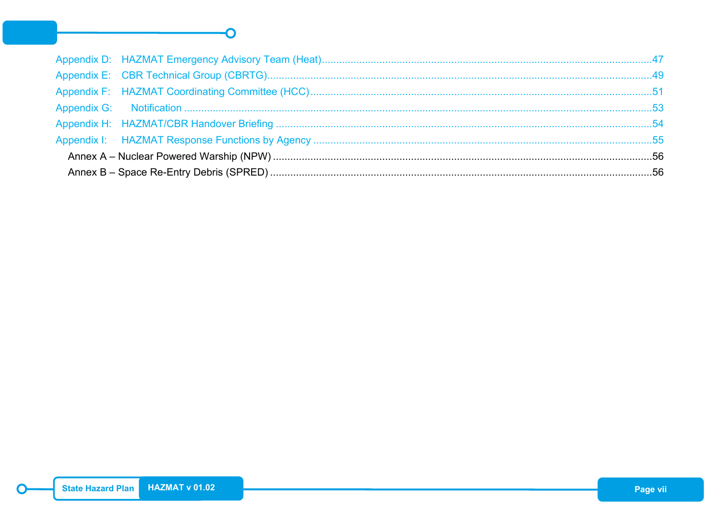#### Appendix E: **Appendix G:** Appendix I: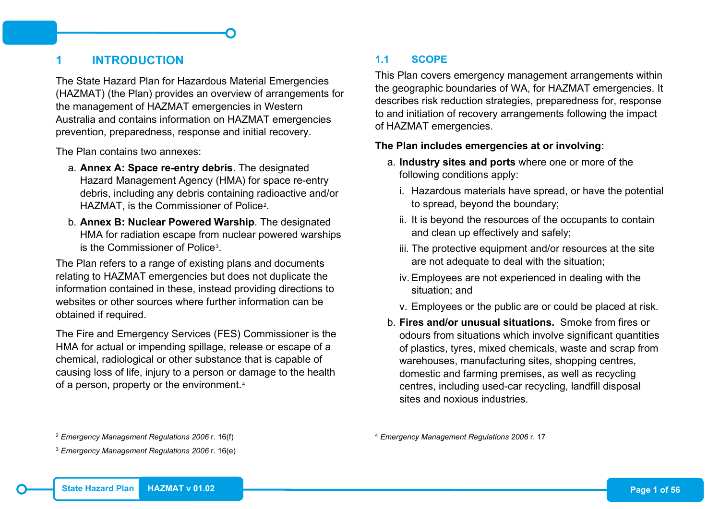## <span id="page-8-0"></span>**1 INTRODUCTION**

The State Hazard Plan for Hazardous Material Emergencies (HAZMAT) (the Plan) provides an overview of arrangements for the management of HAZMAT emergencies in Western Australia and contains information on HAZMAT emergencies prevention, preparedness, response and initial recovery.

The Plan contains two annexes:

- a. **Annex A: Space re-entry debris**. The designated Hazard Management Agency (HMA) for space re-entry debris, including any debris containing radioactive and/or HAZMAT, is the Commissioner of Police[2](#page-8-2).
- b. **Annex B: Nuclear Powered Warship**. The designated HMA for radiation escape from nuclear powered warships is the Commissioner of Police[3.](#page-8-3)

The Plan refers to a range of existing plans and documents relating to HAZMAT emergencies but does not duplicate the information contained in these, instead providing directions to websites or other sources where further information can be obtained if required.

The Fire and Emergency Services (FES) Commissioner is the HMA for actual or impending spillage, release or escape of a chemical, radiological or other substance that is capable of causing loss of life, injury to a person or damage to the health of a person, property or the environment.<sup>[4](#page-8-2)</sup>

## <span id="page-8-3"></span><span id="page-8-2"></span><span id="page-8-1"></span>**1.1 SCOPE**

This Plan covers emergency management arrangements within the geographic boundaries of WA, for HAZMAT emergencies. It describes risk reduction strategies, preparedness for, response to and initiation of recovery arrangements following the impact of HAZMAT emergencies.

#### **The Plan includes emergencies at or involving:**

- a. **Industry sites and ports** where one or more of the following conditions apply:
	- i. Hazardous materials have spread, or have the potential to spread, beyond the boundary;
	- ii. It is beyond the resources of the occupants to contain and clean up effectively and safely;
	- iii. The protective equipment and/or resources at the site are not adequate to deal with the situation;
	- iv. Employees are not experienced in dealing with the situation; and
	- v. Employees or the public are or could be placed at risk.
- b. **Fires and/or unusual situations.** Smoke from fires or odours from situations which involve significant quantities of plastics, tyres, mixed chemicals, waste and scrap from warehouses, manufacturing sites, shopping centres, domestic and farming premises, as well as recycling centres, including used-car recycling, landfill disposal sites and noxious industries.

<sup>4</sup> *Emergency Management Regulations 2006* r. 17

-

<sup>2</sup> *Emergency Management Regulations 2006* r. 16(f)

<sup>3</sup> *Emergency Management Regulations 2006* r. 16(e)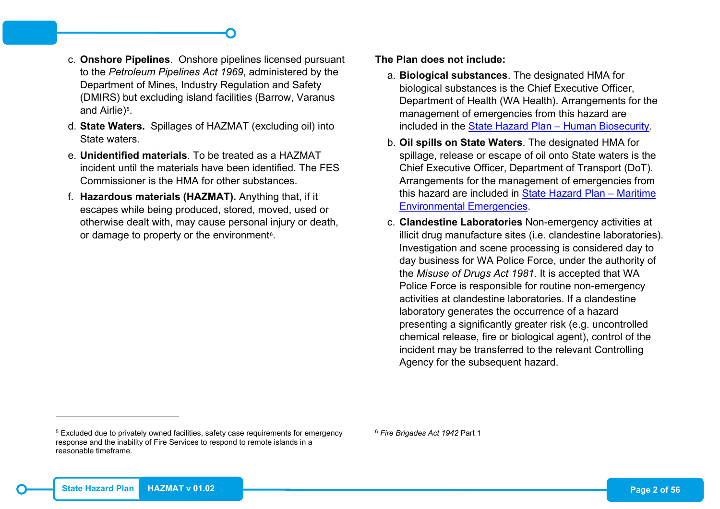- c. **Onshore Pipelines**. Onshore pipelines licensed pursuant to the *Petroleum Pipelines Act 1969*, administered by the Department of Mines, Industry Regulation and Safety (DMIRS) but excluding island facilities (Barrow, Varanus and Airlie)<sup>[5](#page-9-0)</sup>.
- d. **State Waters.** Spillages of HAZMAT (excluding oil) into State waters.
- e. **Unidentified materials**. To be treated as a HAZMAT incident until the materials have been identified. The FES Commissioner is the HMA for other substances.
- f. **Hazardous materials (HAZMAT).** Anything that, if it escapes while being produced, stored, moved, used or otherwise dealt with, may cause personal injury or death, or damage to property or the environment<sup>6</sup>.

#### <span id="page-9-0"></span>**The Plan does not include:**

- a. **Biological substances**. The designated HMA for biological substances is the Chief Executive Officer, Department of Health (WA Health). Arrangements for the management of emergencies from this hazard are included in the [State Hazard Plan –](https://semc.wa.gov.au/emergency-management/plans/state-hazard-plans) Human Biosecurity.
- b. **Oil spills on State Waters**. The designated HMA for spillage, release or escape of oil onto State waters is the Chief Executive Officer, Department of Transport (DoT). Arrangements for the management of emergencies from this hazard are included in [State Hazard Plan](https://semc.wa.gov.au/emergency-management/plans/state-hazard-plans) - Maritime [Environmental Emergencies.](https://semc.wa.gov.au/emergency-management/plans/state-hazard-plans)
- c. **Clandestine Laboratories** Non-emergency activities at illicit drug manufacture sites (i.e. clandestine laboratories). Investigation and scene processing is considered day to day business for WA Police Force, under the authority of the *Misuse of Drugs Act 1981*. It is accepted that WA Police Force is responsible for routine non-emergency activities at clandestine laboratories. If a clandestine laboratory generates the occurrence of a hazard presenting a significantly greater risk (e.g. uncontrolled chemical release, fire or biological agent), control of the incident may be transferred to the relevant Controlling Agency for the subsequent hazard.

<sup>6</sup> *Fire Brigades Act 1942* Part 1

-

<sup>5</sup> Excluded due to privately owned facilities, safety case requirements for emergency response and the inability of Fire Services to respond to remote islands in a reasonable timeframe.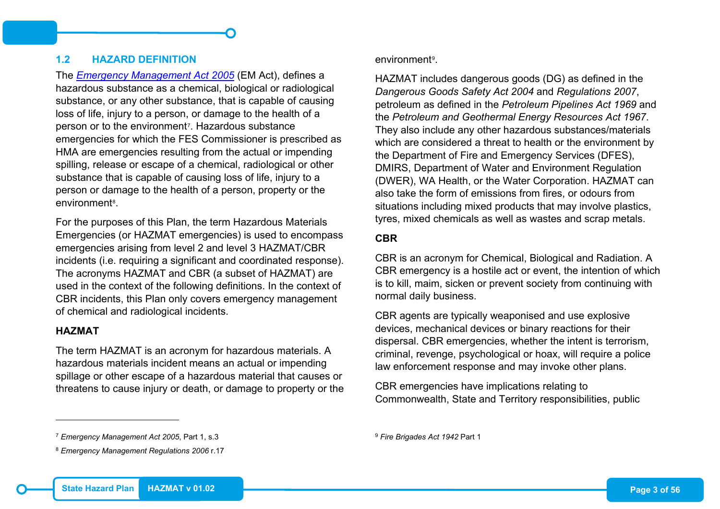#### <span id="page-10-0"></span>**1.2 HAZARD DEFINITION**

The *[Emergency Management Act 2005](https://semc.wa.gov.au/emergency-management/legislation)* (EM Act), defines a hazardous substance as a chemical, biological or radiological substance, or any other substance, that is capable of causing loss of life, injury to a person, or damage to the health of a person or to the environment<sup>7</sup>. Hazardous substance emergencies for which the FES Commissioner is prescribed as HMA are emergencies resulting from the actual or impending spilling, release or escape of a chemical, radiological or other substance that is capable of causing loss of life, injury to a person or damage to the health of a person, property or the environment[8](#page-10-2).

For the purposes of this Plan, the term Hazardous Materials Emergencies (or HAZMAT emergencies) is used to encompass emergencies arising from level 2 and level 3 HAZMAT/CBR incidents (i.e. requiring a significant and coordinated response). The acronyms HAZMAT and CBR (a subset of HAZMAT) are used in the context of the following definitions. In the context of CBR incidents, this Plan only covers emergency management of chemical and radiological incidents.

#### **HAZMAT**

-

The term HAZMAT is an acronym for hazardous materials. A hazardous materials incident means an actual or impending spillage or other escape of a hazardous material that causes or threatens to cause injury or death, or damage to property or the <span id="page-10-2"></span><span id="page-10-1"></span>environment[9.](#page-10-1)

HAZMAT includes dangerous goods (DG) as defined in the *Dangerous Goods Safety Act 2004* and *Regulations 2007*, petroleum as defined in the *Petroleum Pipelines Act 1969* and the *Petroleum and Geothermal Energy Resources Act 1967*. They also include any other hazardous substances/materials which are considered a threat to health or the environment by the Department of Fire and Emergency Services (DFES), DMIRS, Department of Water and Environment Regulation (DWER), WA Health, or the Water Corporation. HAZMAT can also take the form of emissions from fires, or odours from situations including mixed products that may involve plastics, tyres, mixed chemicals as well as wastes and scrap metals.

#### **CBR**

CBR is an acronym for Chemical, Biological and Radiation. A CBR emergency is a hostile act or event, the intention of which is to kill, maim, sicken or prevent society from continuing with normal daily business.

CBR agents are typically weaponised and use explosive devices, mechanical devices or binary reactions for their dispersal. CBR emergencies, whether the intent is terrorism, criminal, revenge, psychological or hoax, will require a police law enforcement response and may invoke other plans.

CBR emergencies have implications relating to Commonwealth, State and Territory responsibilities, public

<sup>9</sup> *Fire Brigades Act 1942* Part 1

<sup>7</sup> *Emergency Management Act 2005*, Part 1, s.3

<sup>8</sup> *Emergency Management Regulations 2006* r.17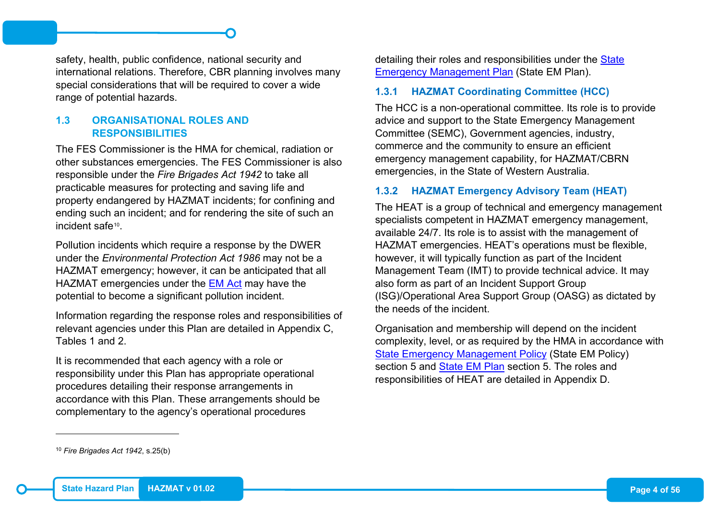safety, health, public confidence, national security and international relations. Therefore, CBR planning involves many special considerations that will be required to cover a wide range of potential hazards.

#### <span id="page-11-0"></span>**1.3 ORGANISATIONAL ROLES AND RESPONSIBILITIES**

The FES Commissioner is the HMA for chemical, radiation or other substances emergencies. The FES Commissioner is also responsible under the *Fire Brigades Act 1942* to take all practicable measures for protecting and saving life and property endangered by HAZMAT incidents; for confining and ending such an incident; and for rendering the site of such an incident safe<sup>10</sup>.

Pollution incidents which require a response by the DWER under the *Environmental Protection Act 1986* may not be a HAZMAT emergency; however, it can be anticipated that all HAZMAT emergencies under the [EM Act](https://semc.wa.gov.au/emergency-management/legislation) may have the potential to become a significant pollution incident.

Information regarding the response roles and responsibilities of relevant agencies under this Plan are detailed in Appendix C, Tables 1 and 2.

It is recommended that each agency with a role or responsibility under this Plan has appropriate operational procedures detailing their response arrangements in accordance with this Plan. These arrangements should be complementary to the agency's operational procedures

<span id="page-11-3"></span>detailing their roles and responsibilities under the [State](https://semc.wa.gov.au/emergency-management/plans/state-em-plan)  [Emergency Management Plan](https://semc.wa.gov.au/emergency-management/plans/state-em-plan) (State EM Plan).

#### <span id="page-11-1"></span>**1.3.1 HAZMAT Coordinating Committee (HCC)**

The HCC is a non-operational committee. Its role is to provide advice and support to the State Emergency Management Committee (SEMC), Government agencies, industry, commerce and the community to ensure an efficient emergency management capability, for HAZMAT/CBRN emergencies, in the State of Western Australia.

## <span id="page-11-2"></span>**1.3.2 HAZMAT Emergency Advisory Team (HEAT)**

The HEAT is a group of technical and emergency management specialists competent in HAZMAT emergency management, available 24/7. Its role is to assist with the management of HAZMAT emergencies. HEAT's operations must be flexible, however, it will typically function as part of the Incident Management Team (IMT) to provide technical advice. It may also form as part of an Incident Support Group (ISG)/Operational Area Support Group (OASG) as dictated by the needs of the incident.

Organisation and membership will depend on the incident complexity, level, or as required by the HMA in accordance with [State Emergency Management Policy](https://semc.wa.gov.au/emergency-management/policy) (State EM Policy) section 5 and [State EM Plan](https://semc.wa.gov.au/emergency-management/plans/state-em-plan) section 5. The roles and responsibilities of HEAT are detailed in Appendix D.

-

<sup>10</sup> *Fire Brigades Act 1942*, s.25(b)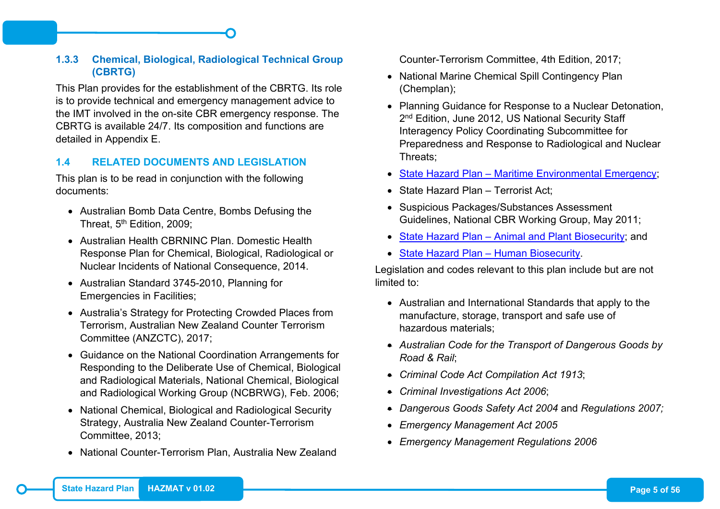### <span id="page-12-0"></span>**1.3.3 Chemical, Biological, Radiological Technical Group (CBRTG)**

This Plan provides for the establishment of the CBRTG. Its role is to provide technical and emergency management advice to the IMT involved in the on-site CBR emergency response. The CBRTG is available 24/7. Its composition and functions are detailed in Appendix E.

#### <span id="page-12-1"></span>**1.4 RELATED DOCUMENTS AND LEGISLATION**

This plan is to be read in conjunction with the following documents:

- Australian Bomb Data Centre, Bombs Defusing the Threat, 5<sup>th</sup> Edition, 2009:
- Australian Health CBRNINC Plan. Domestic Health Response Plan for Chemical, Biological, Radiological or Nuclear Incidents of National Consequence, 2014.
- Australian Standard 3745-2010, Planning for Emergencies in Facilities;
- Australia's Strategy for Protecting Crowded Places from Terrorism, Australian New Zealand Counter Terrorism Committee (ANZCTC), 2017;
- Guidance on the National Coordination Arrangements for Responding to the Deliberate Use of Chemical, Biological and Radiological Materials, National Chemical, Biological and Radiological Working Group (NCBRWG), Feb. 2006;
- National Chemical, Biological and Radiological Security Strategy, Australia New Zealand Counter-Terrorism Committee, 2013;
- National Counter-Terrorism Plan, Australia New Zealand

Counter-Terrorism Committee, 4th Edition, 2017;

- National Marine Chemical Spill Contingency Plan (Chemplan);
- Planning Guidance for Response to a Nuclear Detonation, 2<sup>nd</sup> Edition, June 2012, US National Security Staff Interagency Policy Coordinating Subcommittee for Preparedness and Response to Radiological and Nuclear Threats;
- State Hazard Plan [Maritime Environmental Emergency;](https://semc.wa.gov.au/emergency-management/plans/state-em-plan)
- State Hazard Plan Terrorist Act:
- Suspicious Packages/Substances Assessment Guidelines, National CBR Working Group, May 2011;
- State Hazard Plan [Animal and Plant Biosecurity;](https://semc.wa.gov.au/emergency-management/plans/state-em-plan) and
- [State Hazard Plan –](https://semc.wa.gov.au/emergency-management/plans/state-em-plan) Human Biosecurity.

Legislation and codes relevant to this plan include but are not limited to:

- Australian and International Standards that apply to the manufacture, storage, transport and safe use of hazardous materials;
- *Australian Code for the Transport of Dangerous Goods by Road & Rail*;
- *Criminal Code Act Compilation Act 1913*;
- *Criminal Investigations Act 2006*;
- *Dangerous Goods Safety Act 2004* and *Regulations 2007;*
- *Emergency Management Act 2005*
- *Emergency Management Regulations 2006*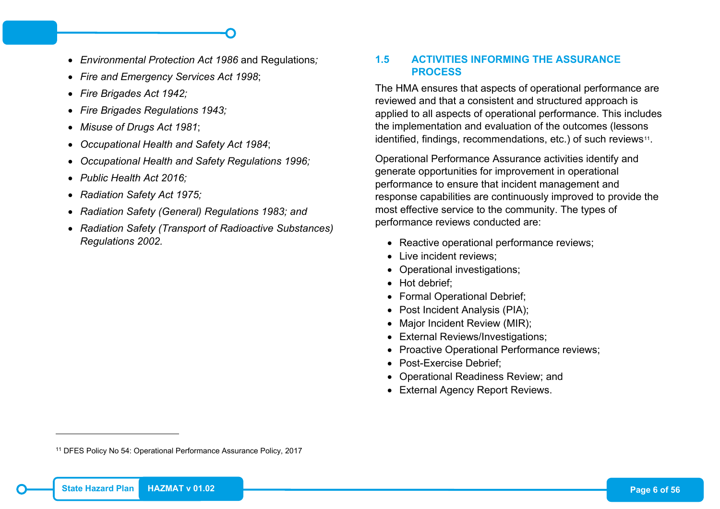- *Environmental Protection Act 1986* and Regulations*;*
- *Fire and Emergency Services Act 1998*;
- *Fire Brigades Act 1942;*
- *Fire Brigades Regulations 1943;*
- *Misuse of Drugs Act 1981*;
- *Occupational Health and Safety Act 1984*;
- *Occupational Health and Safety Regulations 1996;*
- *Public Health Act 2016;*
- *Radiation Safety Act 1975;*
- *Radiation Safety (General) Regulations 1983; and*
- *Radiation Safety (Transport of Radioactive Substances) Regulations 2002.*

## <span id="page-13-1"></span><span id="page-13-0"></span>**1.5 ACTIVITIES INFORMING THE ASSURANCE PROCESS**

The HMA ensures that aspects of operational performance are reviewed and that a consistent and structured approach is applied to all aspects of operational performance. This includes the implementation and evaluation of the outcomes (lessons identified, findings, recommendations, etc.) of such reviews<sup>[11](#page-13-1)</sup>.

Operational Performance Assurance activities identify and generate opportunities for improvement in operational performance to ensure that incident management and response capabilities are continuously improved to provide the most effective service to the community. The types of performance reviews conducted are:

- Reactive operational performance reviews;
- Live incident reviews;
- Operational investigations;
- Hot debrief:
- Formal Operational Debrief;
- Post Incident Analysis (PIA);
- Major Incident Review (MIR);
- External Reviews/Investigations;
- Proactive Operational Performance reviews;
- Post-Exercise Debrief;
- Operational Readiness Review; and
- External Agency Report Reviews.

-

<sup>11</sup> DFES Policy No 54: Operational Performance Assurance Policy, 2017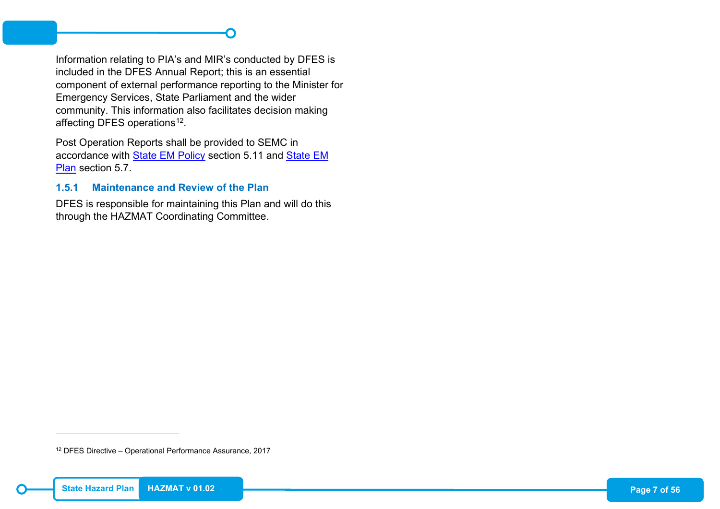## <span id="page-14-1"></span>Information relating to PIA's and MIR's conducted by DFES is included in the DFES Annual Report; this is an essential component of external performance reporting to the Minister for Emergency Services, State Parliament and the wider community. This information also facilitates decision making affecting DFES operations<sup>12</sup>.

Post Operation Reports shall be provided to SEMC in accordance with [State EM Policy](https://semc.wa.gov.au/emergency-management/policy) section 5.11 and [State EM](https://semc.wa.gov.au/emergency-management/plans/state-em-plan)  [Plan](https://semc.wa.gov.au/emergency-management/plans/state-em-plan) section 5.7.

#### <span id="page-14-0"></span>**1.5.1 Maintenance and Review of the Plan**

DFES is responsible for maintaining this Plan and will do this through the HAZMAT Coordinating Committee.

<sup>12</sup> DFES Directive – Operational Performance Assurance, 2017

-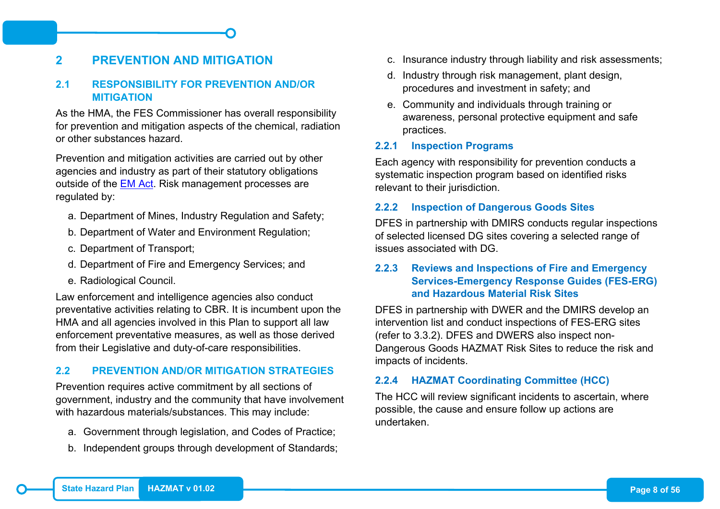## <span id="page-15-0"></span>**2 PREVENTION AND MITIGATION**

#### <span id="page-15-1"></span>**2.1 RESPONSIBILITY FOR PREVENTION AND/OR MITIGATION**

As the HMA, the FES Commissioner has overall responsibility for prevention and mitigation aspects of the chemical, radiation or other substances hazard.

Prevention and mitigation activities are carried out by other agencies and industry as part of their statutory obligations outside of the [EM Act.](https://semc.wa.gov.au/emergency-management/legislation) Risk management processes are regulated by:

- a. Department of Mines, Industry Regulation and Safety;
- b. Department of Water and Environment Regulation;
- c. Department of Transport;
- d. Department of Fire and Emergency Services; and
- e. Radiological Council.

Law enforcement and intelligence agencies also conduct preventative activities relating to CBR. It is incumbent upon the HMA and all agencies involved in this Plan to support all law enforcement preventative measures, as well as those derived from their Legislative and duty-of-care responsibilities.

#### <span id="page-15-2"></span>**2.2 PREVENTION AND/OR MITIGATION STRATEGIES**

Prevention requires active commitment by all sections of government, industry and the community that have involvement with hazardous materials/substances. This may include:

- a. Government through legislation, and Codes of Practice;
- b. Independent groups through development of Standards;
- c. Insurance industry through liability and risk assessments;
- d. Industry through risk management, plant design, procedures and investment in safety; and
- e. Community and individuals through training or awareness, personal protective equipment and safe practices.

#### <span id="page-15-3"></span>**2.2.1 Inspection Programs**

Each agency with responsibility for prevention conducts a systematic inspection program based on identified risks relevant to their jurisdiction.

#### <span id="page-15-4"></span>**2.2.2 Inspection of Dangerous Goods Sites**

DFES in partnership with DMIRS conducts regular inspections of selected licensed DG sites covering a selected range of issues associated with DG.

#### <span id="page-15-5"></span>**2.2.3 Reviews and Inspections of Fire and Emergency Services-Emergency Response Guides (FES-ERG) and Hazardous Material Risk Sites**

DFES in partnership with DWER and the DMIRS develop an intervention list and conduct inspections of FES-ERG sites (refer to 3.3.2). DFES and DWERS also inspect non-Dangerous Goods HAZMAT Risk Sites to reduce the risk and impacts of incidents.

#### <span id="page-15-6"></span>**2.2.4 HAZMAT Coordinating Committee (HCC)**

The HCC will review significant incidents to ascertain, where possible, the cause and ensure follow up actions are undertaken.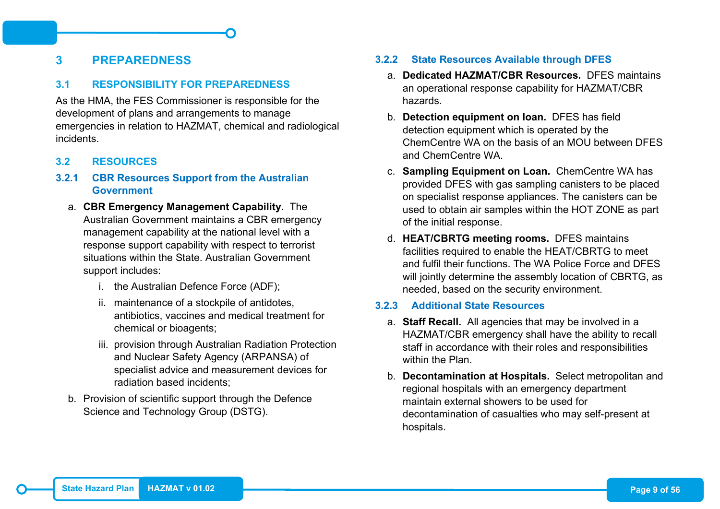## <span id="page-16-0"></span>**3 PREPAREDNESS**

#### <span id="page-16-1"></span>**3.1 RESPONSIBILITY FOR PREPAREDNESS**

As the HMA, the FES Commissioner is responsible for the development of plans and arrangements to manage emergencies in relation to HAZMAT, chemical and radiological incidents.

#### <span id="page-16-2"></span>**3.2 RESOURCES**

#### <span id="page-16-3"></span>**3.2.1 CBR Resources Support from the Australian Government**

- a. **CBR Emergency Management Capability.** The Australian Government maintains a CBR emergency management capability at the national level with a response support capability with respect to terrorist situations within the State. Australian Government support includes:
	- i. the Australian Defence Force (ADF);
	- ii. maintenance of a stockpile of antidotes, antibiotics, vaccines and medical treatment for chemical or bioagents;
	- iii. provision through Australian Radiation Protection and Nuclear Safety Agency (ARPANSA) of specialist advice and measurement devices for radiation based incidents;
- b. Provision of scientific support through the Defence Science and Technology Group (DSTG).

#### <span id="page-16-4"></span>**3.2.2 State Resources Available through DFES**

- a. **Dedicated HAZMAT/CBR Resources.** DFES maintains an operational response capability for HAZMAT/CBR hazards.
- b. **Detection equipment on loan.** DFES has field detection equipment which is operated by the ChemCentre WA on the basis of an MOU between DFES and ChemCentre WA.
- c. **Sampling Equipment on Loan.** ChemCentre WA has provided DFES with gas sampling canisters to be placed on specialist response appliances. The canisters can be used to obtain air samples within the HOT ZONE as part of the initial response.
- d. **HEAT/CBRTG meeting rooms.** DFES maintains facilities required to enable the HEAT/CBRTG to meet and fulfil their functions. The WA Police Force and DFES will jointly determine the assembly location of CBRTG, as needed, based on the security environment.

#### <span id="page-16-5"></span>**3.2.3 Additional State Resources**

- a. **Staff Recall.** All agencies that may be involved in a HAZMAT/CBR emergency shall have the ability to recall staff in accordance with their roles and responsibilities within the Plan
- b. **Decontamination at Hospitals.** Select metropolitan and regional hospitals with an emergency department maintain external showers to be used for decontamination of casualties who may self-present at hospitals.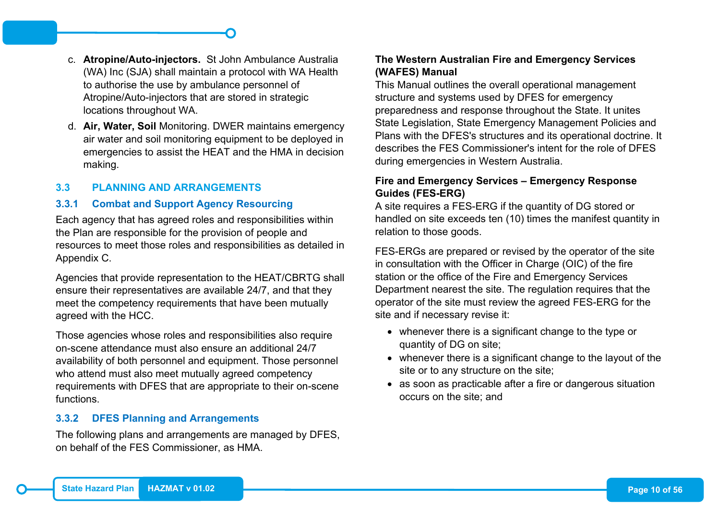- c. **Atropine/Auto-injectors.** St John Ambulance Australia (WA) Inc (SJA) shall maintain a protocol with WA Health to authorise the use by ambulance personnel of Atropine/Auto-injectors that are stored in strategic locations throughout WA.
- d. **Air, Water, Soil** Monitoring. DWER maintains emergency air water and soil monitoring equipment to be deployed in emergencies to assist the HEAT and the HMA in decision making.

#### <span id="page-17-0"></span>**3.3 PLANNING AND ARRANGEMENTS**

#### <span id="page-17-1"></span>**3.3.1 Combat and Support Agency Resourcing**

Each agency that has agreed roles and responsibilities within the Plan are responsible for the provision of people and resources to meet those roles and responsibilities as detailed in Appendix C.

Agencies that provide representation to the HEAT/CBRTG shall ensure their representatives are available 24/7, and that they meet the competency requirements that have been mutually agreed with the HCC.

Those agencies whose roles and responsibilities also require on-scene attendance must also ensure an additional 24/7 availability of both personnel and equipment. Those personnel who attend must also meet mutually agreed competency requirements with DFES that are appropriate to their on-scene functions.

#### <span id="page-17-2"></span>**3.3.2 DFES Planning and Arrangements**

The following plans and arrangements are managed by DFES, on behalf of the FES Commissioner, as HMA.

## **The Western Australian Fire and Emergency Services (WAFES) Manual**

This Manual outlines the overall operational management structure and systems used by DFES for emergency preparedness and response throughout the State. It unites State Legislation, State Emergency Management Policies and Plans with the DFES's structures and its operational doctrine. It describes the FES Commissioner's intent for the role of DFES during emergencies in Western Australia.

#### **Fire and Emergency Services – Emergency Response Guides (FES-ERG)**

A site requires a FES-ERG if the quantity of DG stored or handled on site exceeds ten (10) times the manifest quantity in relation to those goods.

FES-ERGs are prepared or revised by the operator of the site in consultation with the Officer in Charge (OIC) of the fire station or the office of the Fire and Emergency Services Department nearest the site. The regulation requires that the operator of the site must review the agreed FES-ERG for the site and if necessary revise it:

- whenever there is a significant change to the type or quantity of DG on site;
- whenever there is a significant change to the layout of the site or to any structure on the site;
- as soon as practicable after a fire or dangerous situation occurs on the site; and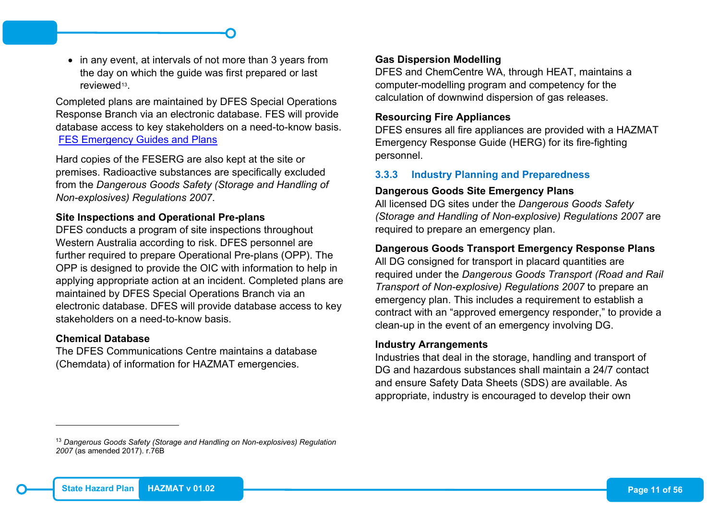• in any event, at intervals of not more than 3 years from the day on which the guide was first prepared or last reviewed<sup>13</sup>

Completed plans are maintained by DFES Special Operations Response Branch via an electronic database. FES will provide database access to key stakeholders on a need-to-know basis. [FES Emergency Guides and Plans](https://fes-guides-plans.dfes.wa.gov.au/Account/Login?ReturnUrl=%2f)

Hard copies of the FESERG are also kept at the site or premises. Radioactive substances are specifically excluded from the *Dangerous Goods Safety (Storage and Handling of Non-explosives) Regulations 2007*.

#### **Site Inspections and Operational Pre-plans**

DFES conducts a program of site inspections throughout Western Australia according to risk. DFES personnel are further required to prepare Operational Pre-plans (OPP). The OPP is designed to provide the OIC with information to help in applying appropriate action at an incident. Completed plans are maintained by DFES Special Operations Branch via an electronic database. DFES will provide database access to key stakeholders on a need-to-know basis.

#### **Chemical Database**

-

The DFES Communications Centre maintains a database (Chemdata) of information for HAZMAT emergencies.

#### <span id="page-18-1"></span>**Gas Dispersion Modelling**

DFES and ChemCentre WA, through HEAT, maintains a computer-modelling program and competency for the calculation of downwind dispersion of gas releases.

#### **Resourcing Fire Appliances**

DFES ensures all fire appliances are provided with a HAZMAT Emergency Response Guide (HERG) for its fire-fighting personnel.

#### <span id="page-18-0"></span>**3.3.3 Industry Planning and Preparedness**

#### **Dangerous Goods Site Emergency Plans**

All licensed DG sites under the *Dangerous Goods Safety (Storage and Handling of Non-explosive) Regulations 2007* are required to prepare an emergency plan.

#### **Dangerous Goods Transport Emergency Response Plans**

All DG consigned for transport in placard quantities are required under the *Dangerous Goods Transport (Road and Rail Transport of Non-explosive) Regulations 2007* to prepare an emergency plan. This includes a requirement to establish a contract with an "approved emergency responder," to provide a clean-up in the event of an emergency involving DG.

#### **Industry Arrangements**

Industries that deal in the storage, handling and transport of DG and hazardous substances shall maintain a 24/7 contact and ensure Safety Data Sheets (SDS) are available. As appropriate, industry is encouraged to develop their own

<sup>13</sup> *Dangerous Goods Safety (Storage and Handling on Non-explosives) Regulation 2007* (as amended 2017). r.76B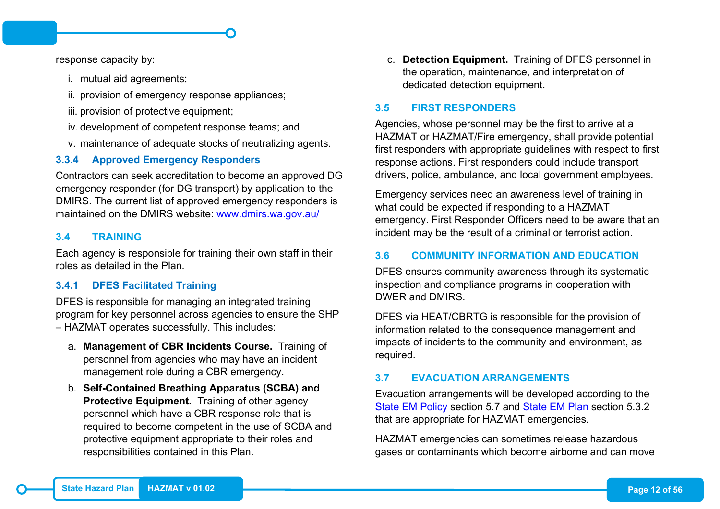response capacity by:

- i. mutual aid agreements;
- ii. provision of emergency response appliances;
- iii. provision of protective equipment;
- iv. development of competent response teams; and
- v. maintenance of adequate stocks of neutralizing agents.

#### <span id="page-19-0"></span>**3.3.4 Approved Emergency Responders**

Contractors can seek accreditation to become an approved DG emergency responder (for DG transport) by application to the DMIRS. The current list of approved emergency responders is maintained on the DMIRS website: [www.dmirs.wa.gov.au/](http://www.dmirs.wa.gov.au/)

#### <span id="page-19-1"></span>**3.4 TRAINING**

Each agency is responsible for training their own staff in their roles as detailed in the Plan.

#### <span id="page-19-2"></span>**3.4.1 DFES Facilitated Training**

DFES is responsible for managing an integrated training program for key personnel across agencies to ensure the SHP – HAZMAT operates successfully. This includes:

- a. **Management of CBR Incidents Course.** Training of personnel from agencies who may have an incident management role during a CBR emergency.
- b. **Self-Contained Breathing Apparatus (SCBA) and Protective Equipment.** Training of other agency personnel which have a CBR response role that is required to become competent in the use of SCBA and protective equipment appropriate to their roles and responsibilities contained in this Plan.

c. **Detection Equipment.** Training of DFES personnel in the operation, maintenance, and interpretation of dedicated detection equipment.

#### <span id="page-19-3"></span>**3.5 FIRST RESPONDERS**

Agencies, whose personnel may be the first to arrive at a HAZMAT or HAZMAT/Fire emergency, shall provide potential first responders with appropriate guidelines with respect to first response actions. First responders could include transport drivers, police, ambulance, and local government employees.

Emergency services need an awareness level of training in what could be expected if responding to a HAZMAT emergency. First Responder Officers need to be aware that an incident may be the result of a criminal or terrorist action.

#### <span id="page-19-4"></span>**3.6 COMMUNITY INFORMATION AND EDUCATION**

DFES ensures community awareness through its systematic inspection and compliance programs in cooperation with DWER and DMIRS.

DFES via HEAT/CBRTG is responsible for the provision of information related to the consequence management and impacts of incidents to the community and environment, as required.

#### <span id="page-19-5"></span>**3.7 EVACUATION ARRANGEMENTS**

Evacuation arrangements will be developed according to the [State EM Policy](https://semc.wa.gov.au/emergency-management/policy) section 5.7 and [State EM Plan](https://semc.wa.gov.au/emergency-management/plans/state-em-plan) section 5.3.2 that are appropriate for HAZMAT emergencies.

HAZMAT emergencies can sometimes release hazardous gases or contaminants which become airborne and can move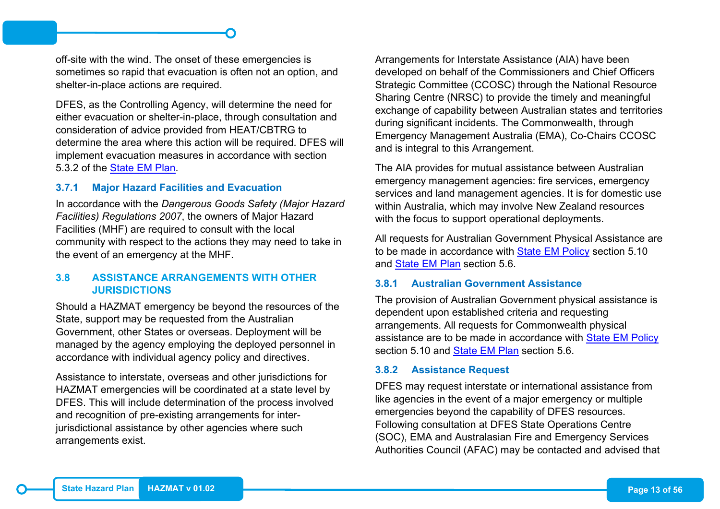off-site with the wind. The onset of these emergencies is sometimes so rapid that evacuation is often not an option, and shelter-in-place actions are required.

DFES, as the Controlling Agency, will determine the need for either evacuation or shelter-in-place, through consultation and consideration of advice provided from HEAT/CBTRG to determine the area where this action will be required. DFES will implement evacuation measures in accordance with section 5.3.2 of the [State EM Plan.](https://semc.wa.gov.au/emergency-management/plans/state-em-plan)

#### <span id="page-20-0"></span>**3.7.1 Major Hazard Facilities and Evacuation**

In accordance with the *Dangerous Goods Safety (Major Hazard Facilities) Regulations 2007*, the owners of Major Hazard Facilities (MHF) are required to consult with the local community with respect to the actions they may need to take in the event of an emergency at the MHF.

#### <span id="page-20-1"></span>**3.8 ASSISTANCE ARRANGEMENTS WITH OTHER JURISDICTIONS**

Should a HAZMAT emergency be beyond the resources of the State, support may be requested from the Australian Government, other States or overseas. Deployment will be managed by the agency employing the deployed personnel in accordance with individual agency policy and directives.

Assistance to interstate, overseas and other jurisdictions for HAZMAT emergencies will be coordinated at a state level by DFES. This will include determination of the process involved and recognition of pre-existing arrangements for interjurisdictional assistance by other agencies where such arrangements exist.

Arrangements for Interstate Assistance (AIA) have been developed on behalf of the Commissioners and Chief Officers Strategic Committee (CCOSC) through the National Resource Sharing Centre (NRSC) to provide the timely and meaningful exchange of capability between Australian states and territories during significant incidents. The Commonwealth, through Emergency Management Australia (EMA), Co-Chairs CCOSC and is integral to this Arrangement.

The AIA provides for mutual assistance between Australian emergency management agencies: fire services, emergency services and land management agencies. It is for domestic use within Australia, which may involve New Zealand resources with the focus to support operational deployments.

All requests for Australian Government Physical Assistance are to be made in accordance with [State EM Policy](https://semc.wa.gov.au/emergency-management/policy) section 5.10 and [State EM Plan](https://semc.wa.gov.au/emergency-management/plans/state-em-plan) section 5.6.

#### <span id="page-20-2"></span>**3.8.1 Australian Government Assistance**

The provision of Australian Government physical assistance is dependent upon established criteria and requesting arrangements. All requests for Commonwealth physical assistance are to be made in accordance with [State EM Policy](https://semc.wa.gov.au/emergency-management/policy) section 5.10 and [State EM Plan](https://semc.wa.gov.au/emergency-management/plans/state-em-plan) section 5.6.

#### <span id="page-20-3"></span>**3.8.2 Assistance Request**

DFES may request interstate or international assistance from like agencies in the event of a major emergency or multiple emergencies beyond the capability of DFES resources. Following consultation at DFES State Operations Centre (SOC), EMA and Australasian Fire and Emergency Services Authorities Council (AFAC) may be contacted and advised that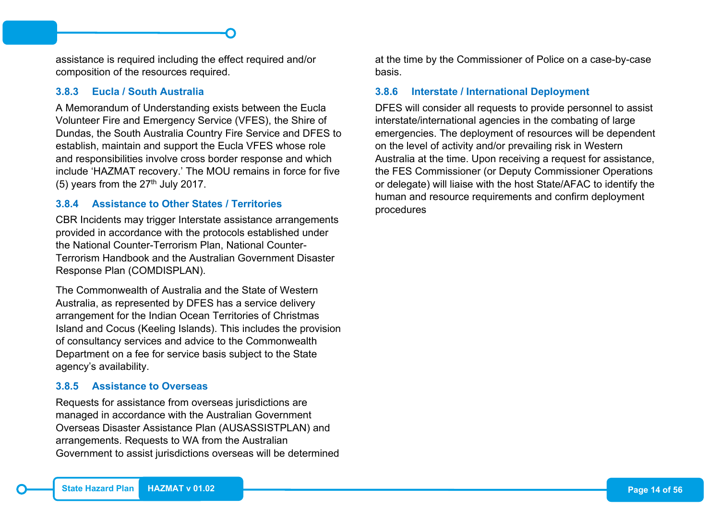assistance is required including the effect required and/or composition of the resources required.

#### <span id="page-21-0"></span>**3.8.3 Eucla / South Australia**

A Memorandum of Understanding exists between the Eucla Volunteer Fire and Emergency Service (VFES), the Shire of Dundas, the South Australia Country Fire Service and DFES to establish, maintain and support the Eucla VFES whose role and responsibilities involve cross border response and which include 'HAZMAT recovery.' The MOU remains in force for five (5) years from the  $27<sup>th</sup>$  July 2017.

#### <span id="page-21-1"></span>**3.8.4 Assistance to Other States / Territories**

CBR Incidents may trigger Interstate assistance arrangements provided in accordance with the protocols established under the National Counter-Terrorism Plan, National Counter-Terrorism Handbook and the Australian Government Disaster Response Plan (COMDISPLAN).

The Commonwealth of Australia and the State of Western Australia, as represented by DFES has a service delivery arrangement for the Indian Ocean Territories of Christmas Island and Cocus (Keeling Islands). This includes the provision of consultancy services and advice to the Commonwealth Department on a fee for service basis subject to the State agency's availability.

#### <span id="page-21-2"></span>**3.8.5 Assistance to Overseas**

Requests for assistance from overseas jurisdictions are managed in accordance with the Australian Government Overseas Disaster Assistance Plan (AUSASSISTPLAN) and arrangements. Requests to WA from the Australian Government to assist jurisdictions overseas will be determined at the time by the Commissioner of Police on a case-by-case basis.

#### <span id="page-21-3"></span>**3.8.6 Interstate / International Deployment**

DFES will consider all requests to provide personnel to assist interstate/international agencies in the combating of large emergencies. The deployment of resources will be dependent on the level of activity and/or prevailing risk in Western Australia at the time. Upon receiving a request for assistance, the FES Commissioner (or Deputy Commissioner Operations or delegate) will liaise with the host State/AFAC to identify the human and resource requirements and confirm deployment procedures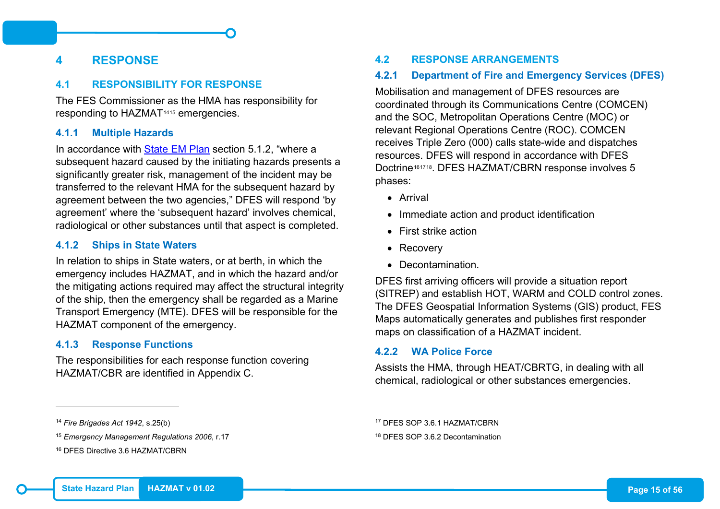## <span id="page-22-0"></span>**4 RESPONSE**

#### <span id="page-22-1"></span>**4.1 RESPONSIBILITY FOR RESPONSE**

The FES Commissioner as the HMA has responsibility for responding to HAZMAT[14](#page-22-8)[15](#page-22-9) emergencies.

#### <span id="page-22-2"></span>**4.1.1 Multiple Hazards**

In accordance with [State EM Plan](https://semc.wa.gov.au/emergency-management/plans/state-em-plan) section 5.1.2, "where a subsequent hazard caused by the initiating hazards presents a significantly greater risk, management of the incident may be transferred to the relevant HMA for the subsequent hazard by agreement between the two agencies," DFES will respond 'by agreement' where the 'subsequent hazard' involves chemical, radiological or other substances until that aspect is completed.

#### <span id="page-22-3"></span>**4.1.2 Ships in State Waters**

In relation to ships in State waters, or at berth, in which the emergency includes HAZMAT, and in which the hazard and/or the mitigating actions required may affect the structural integrity of the ship, then the emergency shall be regarded as a Marine Transport Emergency (MTE). DFES will be responsible for the HAZMAT component of the emergency.

#### <span id="page-22-4"></span>**4.1.3 Response Functions**

The responsibilities for each response function covering HAZMAT/CBR are identified in Appendix C.

#### <sup>14</sup> *Fire Brigades Act 1942*, s.25(b)

-

#### <span id="page-22-10"></span><span id="page-22-9"></span><span id="page-22-8"></span><span id="page-22-5"></span>**4.2 RESPONSE ARRANGEMENTS**

#### <span id="page-22-6"></span>**4.2.1 Department of Fire and Emergency Services (DFES)**

Mobilisation and management of DFES resources are coordinated through its Communications Centre (COMCEN) and the SOC, Metropolitan Operations Centre (MOC) or relevant Regional Operations Centre (ROC). COMCEN receives Triple Zero (000) calls state-wide and dispatches resources. DFES will respond in accordance with DFES Doctrine<sup>[16](#page-22-10)[17](#page-22-8)[18](#page-22-9)</sup>. DFES HAZMAT/CBRN response involves 5 phases:

- Arrival
- Immediate action and product identification
- First strike action
- Recovery
- Decontamination.

DFES first arriving officers will provide a situation report (SITREP) and establish HOT, WARM and COLD control zones. The DFES Geospatial Information Systems (GIS) product, FES Maps automatically generates and publishes first responder maps on classification of a HAZMAT incident.

#### <span id="page-22-7"></span>**4.2.2 WA Police Force**

Assists the HMA, through HEAT/CBRTG, in dealing with all chemical, radiological or other substances emergencies.

<sup>18</sup> DFES SOP 3.6.2 Decontamination

<sup>15</sup> *Emergency Management Regulations 2006*, r.17

<sup>16</sup> DFES Directive 3.6 HAZMAT/CBRN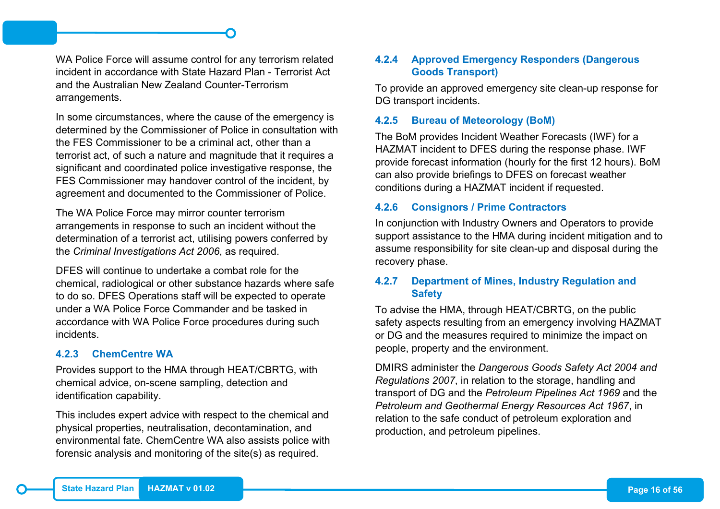WA Police Force will assume control for any terrorism related incident in accordance with State Hazard Plan - Terrorist Act and the Australian New Zealand Counter-Terrorism arrangements.

In some circumstances, where the cause of the emergency is determined by the Commissioner of Police in consultation with the FES Commissioner to be a criminal act, other than a terrorist act, of such a nature and magnitude that it requires a significant and coordinated police investigative response, the FES Commissioner may handover control of the incident, by agreement and documented to the Commissioner of Police.

The WA Police Force may mirror counter terrorism arrangements in response to such an incident without the determination of a terrorist act, utilising powers conferred by the *Criminal Investigations Act 2006*, as required.

DFES will continue to undertake a combat role for the chemical, radiological or other substance hazards where safe to do so. DFES Operations staff will be expected to operate under a WA Police Force Commander and be tasked in accordance with WA Police Force procedures during such incidents.

#### <span id="page-23-0"></span>**4.2.3 ChemCentre WA**

Provides support to the HMA through HEAT/CBRTG, with chemical advice, on-scene sampling, detection and identification capability.

This includes expert advice with respect to the chemical and physical properties, neutralisation, decontamination, and environmental fate. ChemCentre WA also assists police with forensic analysis and monitoring of the site(s) as required.

#### <span id="page-23-1"></span>**4.2.4 Approved Emergency Responders (Dangerous Goods Transport)**

To provide an approved emergency site clean-up response for DG transport incidents.

#### <span id="page-23-2"></span>**4.2.5 Bureau of Meteorology (BoM)**

The BoM provides Incident Weather Forecasts (IWF) for a HAZMAT incident to DFES during the response phase. IWF provide forecast information (hourly for the first 12 hours). BoM can also provide briefings to DFES on forecast weather conditions during a HAZMAT incident if requested.

#### <span id="page-23-3"></span>**4.2.6 Consignors / Prime Contractors**

In conjunction with Industry Owners and Operators to provide support assistance to the HMA during incident mitigation and to assume responsibility for site clean-up and disposal during the recovery phase.

#### <span id="page-23-4"></span>**4.2.7 Department of Mines, Industry Regulation and Safety**

To advise the HMA, through HEAT/CBRTG, on the public safety aspects resulting from an emergency involving HAZMAT or DG and the measures required to minimize the impact on people, property and the environment.

DMIRS administer the *Dangerous Goods Safety Act 2004 and Regulations 2007*, in relation to the storage, handling and transport of DG and the *Petroleum Pipelines Act 1969* and the *Petroleum and Geothermal Energy Resources Act 1967*, in relation to the safe conduct of petroleum exploration and production, and petroleum pipelines.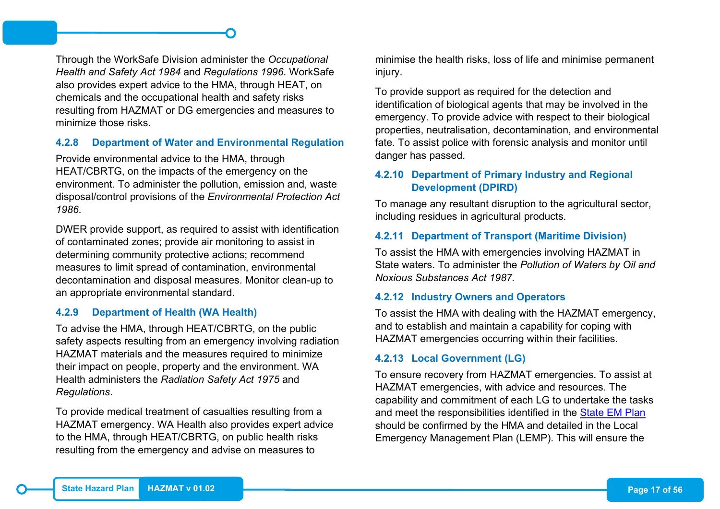Through the WorkSafe Division administer the *Occupational Health and Safety Act 1984* and *Regulations 1996*. WorkSafe also provides expert advice to the HMA, through HEAT, on chemicals and the occupational health and safety risks resulting from HAZMAT or DG emergencies and measures to minimize those risks.

#### <span id="page-24-0"></span>**4.2.8 Department of Water and Environmental Regulation**

Provide environmental advice to the HMA, through HEAT/CBRTG, on the impacts of the emergency on the environment. To administer the pollution, emission and, waste disposal/control provisions of the *Environmental Protection Act 1986*.

DWER provide support, as required to assist with identification of contaminated zones; provide air monitoring to assist in determining community protective actions; recommend measures to limit spread of contamination, environmental decontamination and disposal measures. Monitor clean-up to an appropriate environmental standard.

#### <span id="page-24-1"></span>**4.2.9 Department of Health (WA Health)**

To advise the HMA, through HEAT/CBRTG, on the public safety aspects resulting from an emergency involving radiation HAZMAT materials and the measures required to minimize their impact on people, property and the environment. WA Health administers the *Radiation Safety Act 1975* and *Regulations*.

To provide medical treatment of casualties resulting from a HAZMAT emergency. WA Health also provides expert advice to the HMA, through HEAT/CBRTG, on public health risks resulting from the emergency and advise on measures to

minimise the health risks, loss of life and minimise permanent injury.

To provide support as required for the detection and identification of biological agents that may be involved in the emergency. To provide advice with respect to their biological properties, neutralisation, decontamination, and environmental fate. To assist police with forensic analysis and monitor until danger has passed.

#### <span id="page-24-2"></span>**4.2.10 Department of Primary Industry and Regional Development (DPIRD)**

To manage any resultant disruption to the agricultural sector, including residues in agricultural products.

#### <span id="page-24-3"></span>**4.2.11 Department of Transport (Maritime Division)**

To assist the HMA with emergencies involving HAZMAT in State waters. To administer the *Pollution of Waters by Oil and Noxious Substances Act 1987.*

#### <span id="page-24-4"></span>**4.2.12 Industry Owners and Operators**

To assist the HMA with dealing with the HAZMAT emergency, and to establish and maintain a capability for coping with HAZMAT emergencies occurring within their facilities.

#### <span id="page-24-5"></span>**4.2.13 Local Government (LG)**

To ensure recovery from HAZMAT emergencies. To assist at HAZMAT emergencies, with advice and resources. The capability and commitment of each LG to undertake the tasks and meet the responsibilities identified in the [State EM Plan](https://semc.wa.gov.au/emergency-management/plans/state-em-plan) should be confirmed by the HMA and detailed in the Local Emergency Management Plan (LEMP). This will ensure the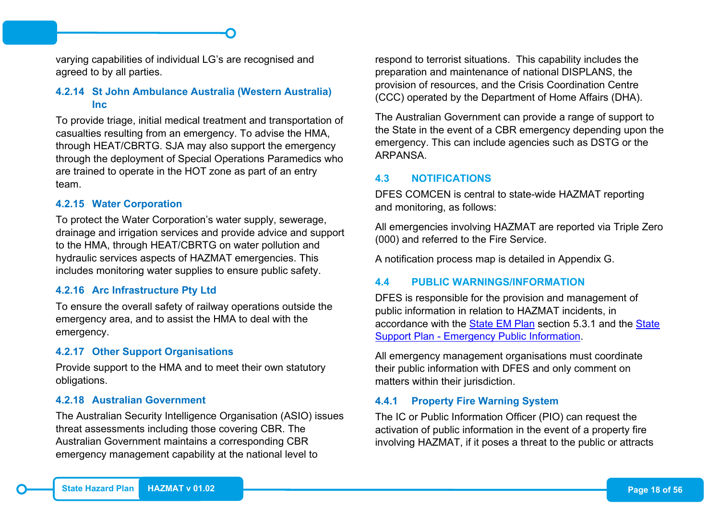varying capabilities of individual LG's are recognised and agreed to by all parties.

#### <span id="page-25-0"></span>**4.2.14 St John Ambulance Australia (Western Australia) Inc**

To provide triage, initial medical treatment and transportation of casualties resulting from an emergency. To advise the HMA, through HEAT/CBRTG. SJA may also support the emergency through the deployment of Special Operations Paramedics who are trained to operate in the HOT zone as part of an entry team.

#### <span id="page-25-1"></span>**4.2.15 Water Corporation**

To protect the Water Corporation's water supply, sewerage, drainage and irrigation services and provide advice and support to the HMA, through HEAT/CBRTG on water pollution and hydraulic services aspects of HAZMAT emergencies. This includes monitoring water supplies to ensure public safety.

#### <span id="page-25-2"></span>**4.2.16 Arc Infrastructure Pty Ltd**

To ensure the overall safety of railway operations outside the emergency area, and to assist the HMA to deal with the emergency.

#### <span id="page-25-3"></span>**4.2.17 Other Support Organisations**

Provide support to the HMA and to meet their own statutory obligations.

#### <span id="page-25-4"></span>**4.2.18 Australian Government**

The Australian Security Intelligence Organisation (ASIO) issues threat assessments including those covering CBR. The Australian Government maintains a corresponding CBR emergency management capability at the national level to

respond to terrorist situations. This capability includes the preparation and maintenance of national DISPLANS, the provision of resources, and the Crisis Coordination Centre (CCC) operated by the Department of Home Affairs (DHA).

The Australian Government can provide a range of support to the State in the event of a CBR emergency depending upon the emergency. This can include agencies such as DSTG or the ARPANSA.

#### <span id="page-25-5"></span>**4.3 NOTIFICATIONS**

DFES COMCEN is central to state-wide HAZMAT reporting and monitoring, as follows:

All emergencies involving HAZMAT are reported via Triple Zero (000) and referred to the Fire Service.

A notification process map is detailed in Appendix G.

#### <span id="page-25-6"></span>**4.4 PUBLIC WARNINGS/INFORMATION**

DFES is responsible for the provision and management of public information in relation to HAZMAT incidents, in accordance with the [State EM Plan](https://semc.wa.gov.au/emergency-management/plans/state-em-plan) section 5.3.1 and the [State](https://semc.wa.gov.au/emergency-management/plans/state-support-plans)  Support Plan - [Emergency Public Information.](https://semc.wa.gov.au/emergency-management/plans/state-support-plans)

All emergency management organisations must coordinate their public information with DFES and only comment on matters within their jurisdiction.

#### <span id="page-25-7"></span>**4.4.1 Property Fire Warning System**

The IC or Public Information Officer (PIO) can request the activation of public information in the event of a property fire involving HAZMAT, if it poses a threat to the public or attracts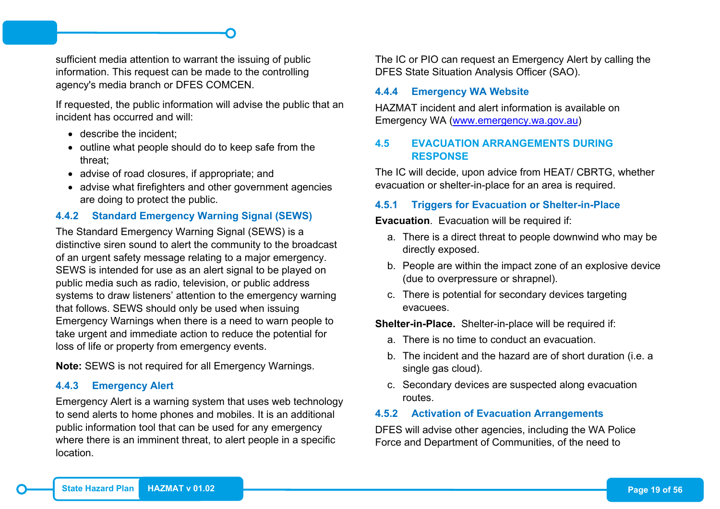sufficient media attention to warrant the issuing of public information. This request can be made to the controlling agency's media branch or DFES COMCEN.

If requested, the public information will advise the public that an incident has occurred and will:

- describe the incident:
- outline what people should do to keep safe from the threat;
- advise of road closures, if appropriate; and
- advise what firefighters and other government agencies are doing to protect the public.

## <span id="page-26-0"></span>**4.4.2 Standard Emergency Warning Signal (SEWS)**

The Standard Emergency Warning Signal (SEWS) is a distinctive siren sound to alert the community to the broadcast of an urgent safety message relating to a major emergency. SEWS is intended for use as an alert signal to be played on public media such as radio, television, or public address systems to draw listeners' attention to the emergency warning that follows. SEWS should only be used when issuing Emergency Warnings when there is a need to warn people to take urgent and immediate action to reduce the potential for loss of life or property from emergency events.

**Note:** SEWS is not required for all Emergency Warnings.

## <span id="page-26-1"></span>**4.4.3 Emergency Alert**

Emergency Alert is a warning system that uses web technology to send alerts to home phones and mobiles. It is an additional public information tool that can be used for any emergency where there is an imminent threat, to alert people in a specific location.

The IC or PIO can request an Emergency Alert by calling the DFES State Situation Analysis Officer (SAO).

#### <span id="page-26-2"></span>**4.4.4 Emergency WA Website**

HAZMAT incident and alert information is available on Emergency WA [\(www.emergency.wa.gov.au\)](http://www.emergency.wa.gov.au/)

## <span id="page-26-3"></span>**4.5 EVACUATION ARRANGEMENTS DURING RESPONSE**

The IC will decide, upon advice from HEAT/ CBRTG, whether evacuation or shelter-in-place for an area is required.

## <span id="page-26-4"></span>**4.5.1 Triggers for Evacuation or Shelter-in-Place**

**Evacuation**. Evacuation will be required if:

- a. There is a direct threat to people downwind who may be directly exposed.
- b. People are within the impact zone of an explosive device (due to overpressure or shrapnel).
- c. There is potential for secondary devices targeting evacuees.

**Shelter-in-Place.** Shelter-in-place will be required if:

- a. There is no time to conduct an evacuation.
- b. The incident and the hazard are of short duration (i.e. a single gas cloud).
- c. Secondary devices are suspected along evacuation routes.

#### <span id="page-26-5"></span>**4.5.2 Activation of Evacuation Arrangements**

DFES will advise other agencies, including the WA Police Force and Department of Communities, of the need to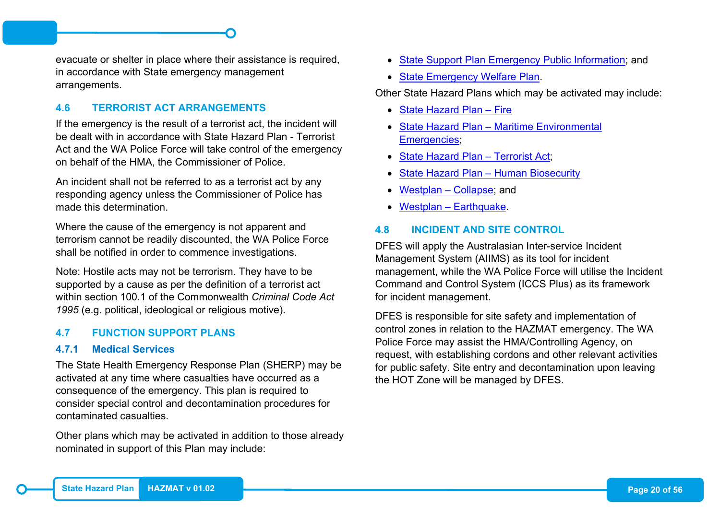evacuate or shelter in place where their assistance is required, in accordance with State emergency management arrangements.

#### <span id="page-27-0"></span>**4.6 TERRORIST ACT ARRANGEMENTS**

If the emergency is the result of a terrorist act, the incident will be dealt with in accordance with State Hazard Plan - Terrorist Act and the WA Police Force will take control of the emergency on behalf of the HMA, the Commissioner of Police.

An incident shall not be referred to as a terrorist act by any responding agency unless the Commissioner of Police has made this determination.

Where the cause of the emergency is not apparent and terrorism cannot be readily discounted, the WA Police Force shall be notified in order to commence investigations.

Note: Hostile acts may not be terrorism. They have to be supported by a cause as per the definition of a terrorist act within section 100.1 of the Commonwealth *Criminal Code Act 1995* (e.g. political, ideological or religious motive).

#### <span id="page-27-1"></span>**4.7 FUNCTION SUPPORT PLANS**

#### <span id="page-27-2"></span>**4.7.1 Medical Services**

The State Health Emergency Response Plan (SHERP) may be activated at any time where casualties have occurred as a consequence of the emergency. This plan is required to consider special control and decontamination procedures for contaminated casualties.

Other plans which may be activated in addition to those already nominated in support of this Plan may include:

- State Support Plan Emergency Public Information: and
- [State Emergency Welfare Plan.](https://semc.wa.gov.au/emergency-management/plans/state-support-plans)

Other State Hazard Plans which may be activated may include:

- [State Hazard Plan –](https://semc.wa.gov.au/emergency-management/plans/state-hazard-plans) Fire
- State Hazard Plan [Maritime Environmental](https://semc.wa.gov.au/emergency-management/plans/state-hazard-plans)  [Emergencies;](https://semc.wa.gov.au/emergency-management/plans/state-hazard-plans)
- [State Hazard Plan –](https://semc.wa.gov.au/emergency-management/plans/state-hazard-plans) Terrorist Act;
- [State Hazard Plan –](https://semc.wa.gov.au/emergency-management/plans/state-hazard-plans) Human Biosecurity
- [Westplan –](https://semc.wa.gov.au/emergency-management/plans/state-hazard-plans) Collapse; and
- Westplan [Earthquake.](https://semc.wa.gov.au/emergency-management/plans/state-hazard-plans)

#### <span id="page-27-3"></span>**4.8 INCIDENT AND SITE CONTROL**

DFES will apply the Australasian Inter-service Incident Management System (AIIMS) as its tool for incident management, while the WA Police Force will utilise the Incident Command and Control System (ICCS Plus) as its framework for incident management.

DFES is responsible for site safety and implementation of control zones in relation to the HAZMAT emergency. The WA Police Force may assist the HMA/Controlling Agency, on request, with establishing cordons and other relevant activities for public safety. Site entry and decontamination upon leaving the HOT Zone will be managed by DFES.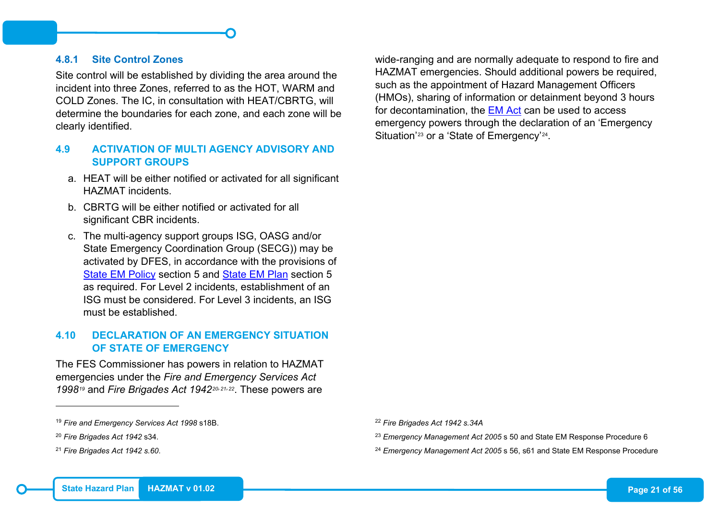#### <span id="page-28-0"></span>**4.8.1 Site Control Zones**

Site control will be established by dividing the area around the incident into three Zones, referred to as the HOT, WARM and COLD Zones. The IC, in consultation with HEAT/CBRTG, will determine the boundaries for each zone, and each zone will be clearly identified.

#### <span id="page-28-1"></span>**4.9 ACTIVATION OF MULTI AGENCY ADVISORY AND SUPPORT GROUPS**

- a. HEAT will be either notified or activated for all significant HAZMAT incidents.
- b. CBRTG will be either notified or activated for all significant CBR incidents.
- c. The multi-agency support groups ISG, OASG and/or State Emergency Coordination Group (SECG)) may be activated by DFES, in accordance with the provisions of [State EM Policy](https://semc.wa.gov.au/emergency-management/policy) section 5 and [State EM Plan](https://semc.wa.gov.au/emergency-management/plans/state-em-plan) section 5 as required. For Level 2 incidents, establishment of an ISG must be considered. For Level 3 incidents, an ISG must be established.

#### <span id="page-28-2"></span>**4.10 DECLARATION OF AN EMERGENCY SITUATION OF STATE OF EMERGENCY**

The FES Commissioner has powers in relation to HAZMAT emergencies under the *Fire and Emergency Services Act 1998[19](#page-28-3)* and *Fire Brigades Act 1942[20](#page-28-4),[21,](#page-28-5)[22](#page-28-3)*. These powers are

-

<span id="page-28-5"></span><span id="page-28-4"></span><span id="page-28-3"></span>wide-ranging and are normally adequate to respond to fire and HAZMAT emergencies. Should additional powers be required, such as the appointment of Hazard Management Officers (HMOs), sharing of information or detainment beyond 3 hours for decontamination, the [EM Act](https://semc.wa.gov.au/emergency-management/legislation) can be used to access emergency powers through the declaration of an 'Emergency Situation'<sup>[23](#page-28-4)</sup> or a 'State of Emergency'<sup>24</sup>.

<sup>22</sup> *Fire Brigades Act 1942 s.34A*

<sup>23</sup> *Emergency Management Act 2005* s 50 and State EM Response Procedure 6

<sup>24</sup> *Emergency Management Act 2005* s 56, s61 and State EM Response Procedure

<sup>19</sup> *Fire and Emergency Services Act 1998* s18B.

<sup>20</sup> *Fire Brigades Act 1942* s34.

<sup>21</sup> *Fire Brigades Act 1942 s.60*.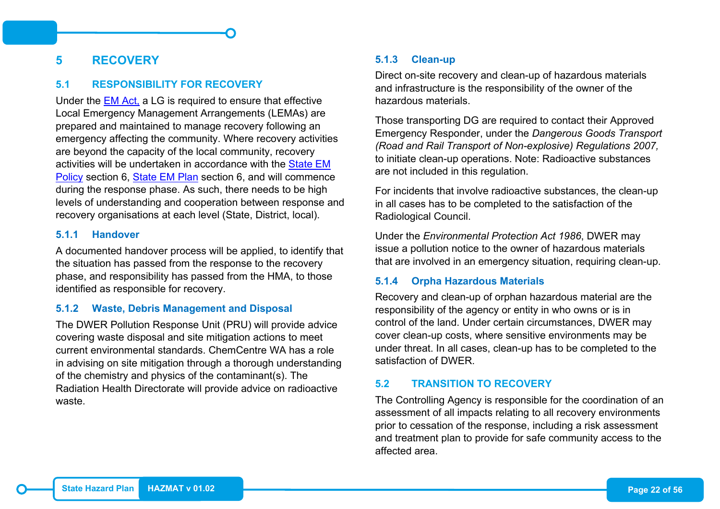## <span id="page-29-0"></span>**5 RECOVERY**

#### <span id="page-29-1"></span>**5.1 RESPONSIBILITY FOR RECOVERY**

Under the [EM Act,](https://semc.wa.gov.au/emergency-management/legislation) a LG is required to ensure that effective Local Emergency Management Arrangements (LEMAs) are prepared and maintained to manage recovery following an emergency affecting the community. Where recovery activities are beyond the capacity of the local community, recovery activities will be undertaken in accordance with the [State EM](https://semc.wa.gov.au/emergency-management/policy)  [Policy](https://semc.wa.gov.au/emergency-management/policy) section 6, [State EM Plan](https://semc.wa.gov.au/emergency-management/plans/state-em-plan) section 6, and will commence during the response phase. As such, there needs to be high levels of understanding and cooperation between response and recovery organisations at each level (State, District, local).

#### <span id="page-29-2"></span>**5.1.1 Handover**

A documented handover process will be applied, to identify that the situation has passed from the response to the recovery phase, and responsibility has passed from the HMA, to those identified as responsible for recovery.

#### <span id="page-29-3"></span>**5.1.2 Waste, Debris Management and Disposal**

The DWER Pollution Response Unit (PRU) will provide advice covering waste disposal and site mitigation actions to meet current environmental standards. ChemCentre WA has a role in advising on site mitigation through a thorough understanding of the chemistry and physics of the contaminant(s). The Radiation Health Directorate will provide advice on radioactive waste.

#### <span id="page-29-4"></span>**5.1.3 Clean-up**

Direct on-site recovery and clean-up of hazardous materials and infrastructure is the responsibility of the owner of the hazardous materials.

Those transporting DG are required to contact their Approved Emergency Responder, under the *Dangerous Goods Transport (Road and Rail Transport of Non-explosive) Regulations 2007,* to initiate clean-up operations. Note: Radioactive substances are not included in this regulation.

For incidents that involve radioactive substances, the clean-up in all cases has to be completed to the satisfaction of the Radiological Council.

Under the *Environmental Protection Act 1986*, DWER may issue a pollution notice to the owner of hazardous materials that are involved in an emergency situation, requiring clean-up.

#### <span id="page-29-5"></span>**5.1.4 Orpha Hazardous Materials**

Recovery and clean-up of orphan hazardous material are the responsibility of the agency or entity in who owns or is in control of the land. Under certain circumstances, DWER may cover clean-up costs, where sensitive environments may be under threat. In all cases, clean-up has to be completed to the satisfaction of DWER.

#### <span id="page-29-6"></span>**5.2 TRANSITION TO RECOVERY**

The Controlling Agency is responsible for the coordination of an assessment of all impacts relating to all recovery environments prior to cessation of the response, including a risk assessment and treatment plan to provide for safe community access to the affected area.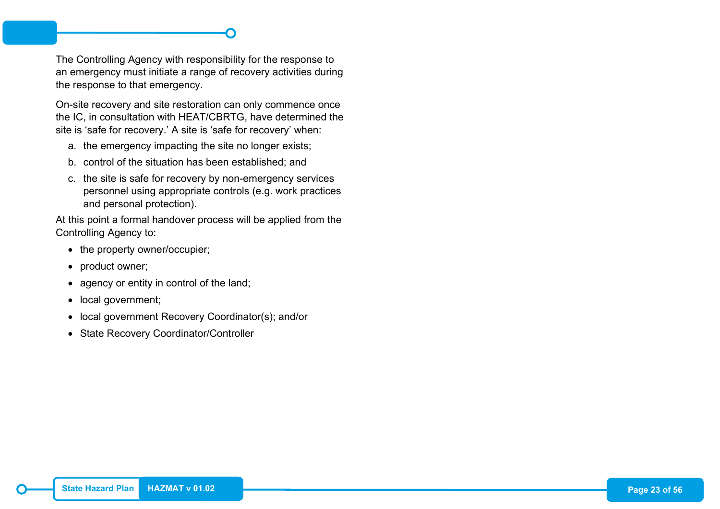The Controlling Agency with responsibility for the response to an emergency must initiate a range of recovery activities during the response to that emergency.

On-site recovery and site restoration can only commence once the IC, in consultation with HEAT/CBRTG, have determined the site is 'safe for recovery.' A site is 'safe for recovery' when:

- a. the emergency impacting the site no longer exists;
- b. control of the situation has been established; and
- c. the site is safe for recovery by non-emergency services personnel using appropriate controls (e.g. work practices and personal protection).

At this point a formal handover process will be applied from the Controlling Agency to:

- the property owner/occupier;
- product owner;
- agency or entity in control of the land;
- local government;
- local government Recovery Coordinator(s); and/or
- State Recovery Coordinator/Controller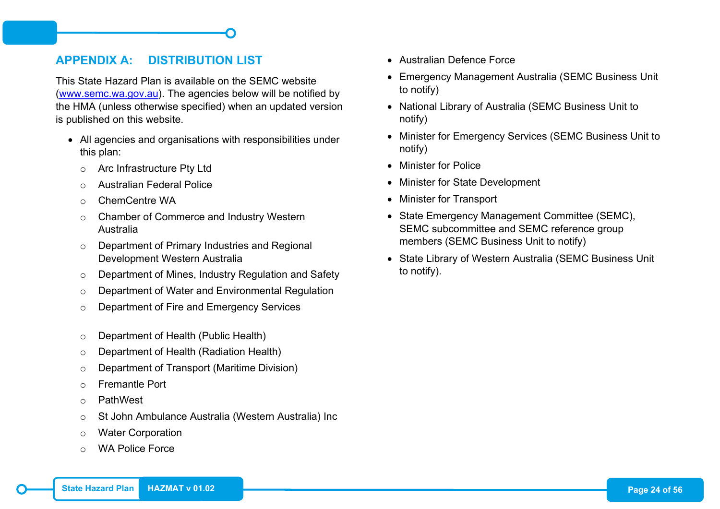## <span id="page-31-0"></span>**APPENDIX A: DISTRIBUTION LIST**

This State Hazard Plan is available on the SEMC website [\(www.semc.wa.gov.au\)](http://www.semc.wa.gov.au/). The agencies below will be notified by the HMA (unless otherwise specified) when an updated version is published on this website.

- All agencies and organisations with responsibilities under this plan:
	- o Arc Infrastructure Pty Ltd
	- o Australian Federal Police
	- o ChemCentre WA
	- o Chamber of Commerce and Industry Western Australia
	- o Department of Primary Industries and Regional Development Western Australia
	- o Department of Mines, Industry Regulation and Safety
	- o Department of Water and Environmental Regulation
	- o Department of Fire and Emergency Services
	- o Department of Health (Public Health)
	- o Department of Health (Radiation Health)
	- o Department of Transport (Maritime Division)
	- o Fremantle Port
	- o PathWest
	- o St John Ambulance Australia (Western Australia) Inc
	- o Water Corporation
	- o WA Police Force
- Australian Defence Force
- Emergency Management Australia (SEMC Business Unit to notify)
- National Library of Australia (SEMC Business Unit to notify)
- Minister for Emergency Services (SEMC Business Unit to notify)
- Minister for Police
- Minister for State Development
- Minister for Transport
- State Emergency Management Committee (SEMC), SEMC subcommittee and SEMC reference group members (SEMC Business Unit to notify)
- State Library of Western Australia (SEMC Business Unit to notify).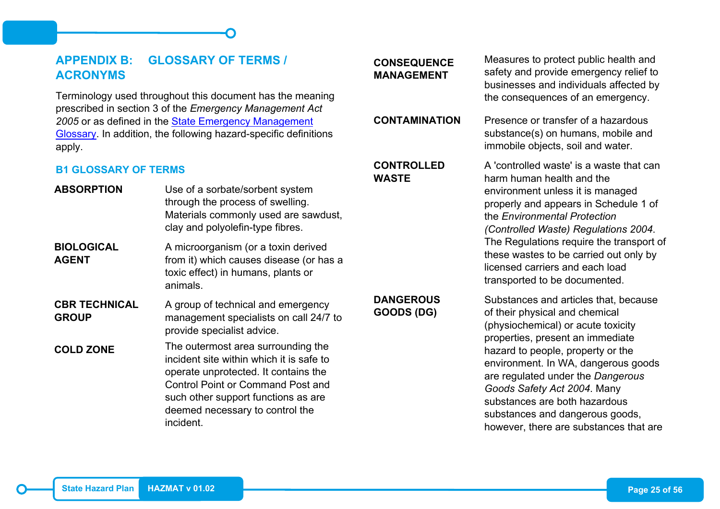## <span id="page-32-0"></span>**APPENDIX B: GLOSSARY OF TERMS / ACRONYMS**

Terminology used throughout this document has the meaning prescribed in section 3 of the *Emergency Management Act 2005* or as defined in the [State Emergency Management](https://semc.wa.gov.au/emergency-management/glossary) [Glossary.](https://semc.wa.gov.au/emergency-management/glossary) In addition, the following hazard-specific definitions apply.

#### <span id="page-32-1"></span>**B1 GLOSSARY OF TERMS**

| <b>ABSORPTION</b>                    | Use of a sorbate/sorbent system<br>through the process of swelling.<br>Materials commonly used are sawdust,<br>clay and polyolefin-type fibres.                                                                                                           |
|--------------------------------------|-----------------------------------------------------------------------------------------------------------------------------------------------------------------------------------------------------------------------------------------------------------|
| <b>BIOLOGICAL</b><br>AGENT           | A microorganism (or a toxin derived<br>from it) which causes disease (or has a<br>toxic effect) in humans, plants or<br>animals.                                                                                                                          |
| <b>CBR TECHNICAL</b><br><b>GROUP</b> | A group of technical and emergency<br>management specialists on call 24/7 to<br>provide specialist advice.                                                                                                                                                |
| <b>COLD ZONE</b>                     | The outermost area surrounding the<br>incident site within which it is safe to<br>operate unprotected. It contains the<br><b>Control Point or Command Post and</b><br>such other support functions as are<br>deemed necessary to control the<br>incident. |

## **CONSEQUENCE MANAGEMENT**

#### **CONTROLLED WASTE**

**DANGEROUS GOODS (DG)**

Measures to protect public health and safety and provide emergency relief to businesses and individuals affected by the consequences of an emergency.

**CONTAMINATION** Presence or transfer of a hazardous substance(s) on humans, mobile and immobile objects, soil and water.

> A 'controlled waste' is a waste that can harm human health and the environment unless it is managed properly and appears in Schedule 1 of the *Environmental Protection (Controlled Waste) Regulations 2004*. The Regulations require the transport of these wastes to be carried out only by licensed carriers and each load transported to be documented.

#### Substances and articles that, because of their physical and chemical (physiochemical) or acute toxicity properties, present an immediate hazard to people, property or the environment. In WA, dangerous goods are regulated under the *Dangerous Goods Safety Act 2004*. Many substances are both hazardous substances and dangerous goods, however, there are substances that are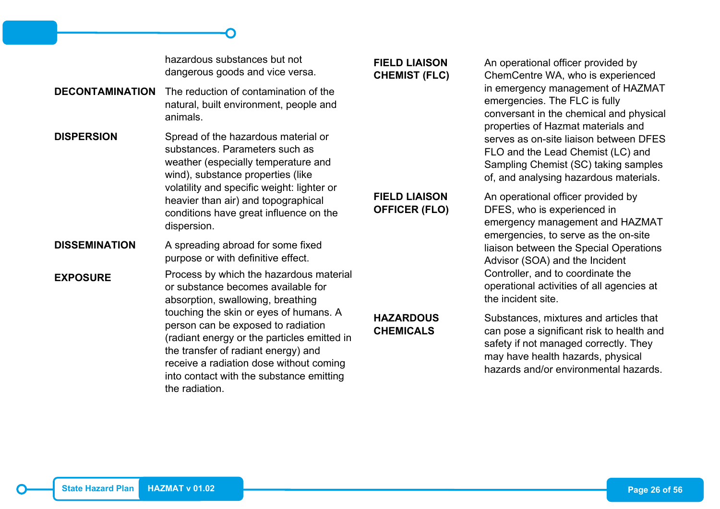hazardous substances but not dangerous goods and vice versa.

- **DECONTAMINATION** The reduction of contamination of the natural, built environment, people and animals.
- **DISPERSION** Spread of the hazardous material or substances. Parameters such as weather (especially temperature and wind), substance properties (like volatility and specific weight: lighter or heavier than air) and topographical conditions have great influence on the dispersion.
- **DISSEMINATION** A spreading abroad for some fixed purpose or with definitive effect.

**EXPOSURE** Process by which the hazardous material or substance becomes available for absorption, swallowing, breathing touching the skin or eyes of humans. A person can be exposed to radiation (radiant energy or the particles emitted in the transfer of radiant energy) and receive a radiation dose without coming into contact with the substance emitting the radiation.

## **FIELD LIAISON CHEMIST (FLC)**

**FIELD LIAISON OFFICER (FLO)**

**HAZARDOUS CHEMICALS**

An operational officer provided by ChemCentre WA, who is experienced in emergency management of HAZMAT emergencies. The FLC is fully conversant in the chemical and physical properties of Hazmat materials and serves as on-site liaison between DFES FLO and the Lead Chemist (LC) and Sampling Chemist (SC) taking samples of, and analysing hazardous materials.

An operational officer provided by DFES, who is experienced in emergency management and HAZMAT emergencies, to serve as the on-site liaison between the Special Operations Advisor (SOA) and the Incident Controller, and to coordinate the operational activities of all agencies at the incident site.

Substances, mixtures and articles that can pose a significant risk to health and safety if not managed correctly. They may have health hazards, physical hazards and/or environmental hazards.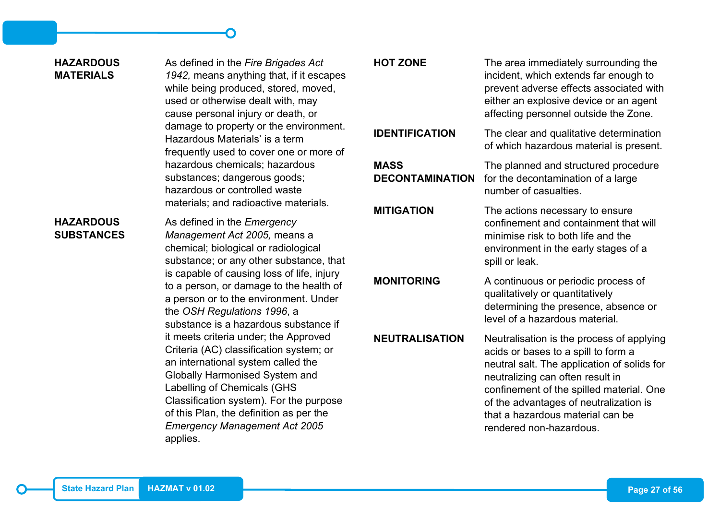#### **HAZARDOUS MATERIALS**

As defined in the *Fire Brigades Act 1942,* means anything that, if it escapes while being produced, stored, moved, used or otherwise dealt with, may cause personal injury or death, or damage to property or the environment. Hazardous Materials' is a term frequently used to cover one or more of hazardous chemicals; hazardous substances; dangerous goods; hazardous or controlled waste materials; and radioactive materials.

#### **HAZARDOUS SUBSTANCES**

As defined in the *Emergency Management Act 2005,* means a chemical; biological or radiological substance; or any other substance, that is capable of causing loss of life, injury to a person, or damage to the health of a person or to the environment. Under the *OSH Regulations 1996*, a substance is a hazardous substance if it meets criteria under; the Approved Criteria (AC) classification system; or an international system called the Globally Harmonised System and Labelling of Chemicals (GHS Classification system). For the purpose of this Plan, the definition as per the *Emergency Management Act 2005* applies.

**MASS** 

**DECONTAMINATION**

**HOT ZONE** The area immediately surrounding the incident, which extends far enough to prevent adverse effects associated with either an explosive device or an agent affecting personnel outside the Zone.

**IDENTIFICATION** The clear and qualitative determination of which hazardous material is present.

> The planned and structured procedure for the decontamination of a large number of casualties.

**MITIGATION** The actions necessary to ensure confinement and containment that will minimise risk to both life and the environment in the early stages of a spill or leak.

**MONITORING** A continuous or periodic process of qualitatively or quantitatively determining the presence, absence or level of a hazardous material.

**NEUTRALISATION** Neutralisation is the process of applying acids or bases to a spill to form a neutral salt. The application of solids for neutralizing can often result in confinement of the spilled material. One of the advantages of neutralization is that a hazardous material can be rendered non-hazardous.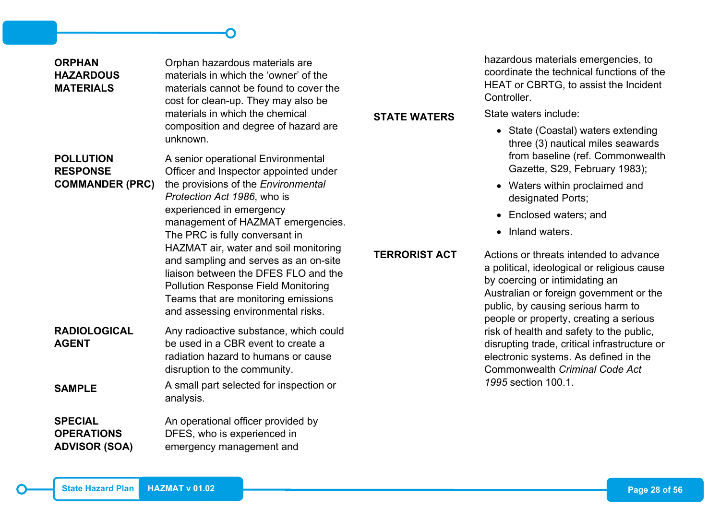| <b>ORPHAN</b><br><b>HAZARDOUS</b><br><b>MATERIALS</b>         | Orphan hazardous materials are<br>materials in which the 'owner' of the<br>materials cannot be found to cover the<br>cost for clean-up. They may also be                                                                                                                                                    |                     | hazardous materials emergencies, to<br>coordinate the technical functions of the<br>HEAT or CBRTG, to assist the Incident<br>Controller.                                                                                                           |  |  |
|---------------------------------------------------------------|-------------------------------------------------------------------------------------------------------------------------------------------------------------------------------------------------------------------------------------------------------------------------------------------------------------|---------------------|----------------------------------------------------------------------------------------------------------------------------------------------------------------------------------------------------------------------------------------------------|--|--|
|                                                               | materials in which the chemical<br>composition and degree of hazard are                                                                                                                                                                                                                                     | <b>STATE WATERS</b> | State waters include:<br>• State (Coastal) waters extending                                                                                                                                                                                        |  |  |
| <b>POLLUTION</b><br><b>RESPONSE</b><br><b>COMMANDER (PRC)</b> | unknown.<br>A senior operational Environmental<br>Officer and Inspector appointed under<br>the provisions of the Environmental                                                                                                                                                                              |                     | three (3) nautical miles seawards<br>from baseline (ref. Commonwealth<br>Gazette, S29, February 1983);<br>• Waters within proclaimed and                                                                                                           |  |  |
|                                                               | Protection Act 1986, who is<br>experienced in emergency                                                                                                                                                                                                                                                     |                     | designated Ports;                                                                                                                                                                                                                                  |  |  |
|                                                               | management of HAZMAT emergencies.                                                                                                                                                                                                                                                                           |                     | Enclosed waters; and<br>$\bullet$                                                                                                                                                                                                                  |  |  |
|                                                               | The PRC is fully conversant in<br>HAZMAT air, water and soil monitoring<br><b>TERRORIST ACT</b><br>and sampling and serves as an on-site<br>liaison between the DFES FLO and the<br><b>Pollution Response Field Monitoring</b><br>Teams that are monitoring emissions<br>and assessing environmental risks. |                     | • Inland waters.                                                                                                                                                                                                                                   |  |  |
|                                                               |                                                                                                                                                                                                                                                                                                             |                     | Actions or threats intended to advance<br>a political, ideological or religious cause<br>by coercing or intimidating an<br>Australian or foreign government or the<br>public, by causing serious harm to<br>people or property, creating a serious |  |  |
| <b>RADIOLOGICAL</b><br><b>AGENT</b>                           | Any radioactive substance, which could<br>be used in a CBR event to create a<br>radiation hazard to humans or cause<br>disruption to the community.                                                                                                                                                         |                     | risk of health and safety to the public,<br>disrupting trade, critical infrastructure or<br>electronic systems. As defined in the<br><b>Commonwealth Criminal Code Act</b>                                                                         |  |  |
| <b>SAMPLE</b>                                                 | A small part selected for inspection or<br>analysis.                                                                                                                                                                                                                                                        |                     | 1995 section 100.1.                                                                                                                                                                                                                                |  |  |
| <b>SPECIAL</b><br><b>OPERATIONS</b><br><b>ADVISOR (SOA)</b>   | An operational officer provided by<br>DFES, who is experienced in<br>emergency management and                                                                                                                                                                                                               |                     |                                                                                                                                                                                                                                                    |  |  |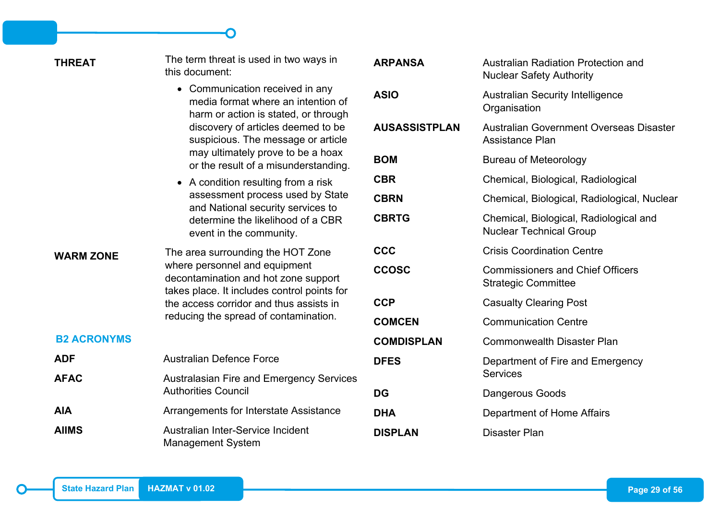<span id="page-36-0"></span>

| <b>THREAT</b>      | The term threat is used in two ways in<br>this document:                                                                                                                                                                                      | <b>ARPANSA</b>       | <b>Australian Radiation Protection and</b><br><b>Nuclear Safety Authority</b> |
|--------------------|-----------------------------------------------------------------------------------------------------------------------------------------------------------------------------------------------------------------------------------------------|----------------------|-------------------------------------------------------------------------------|
|                    | • Communication received in any<br>media format where an intention of<br>harm or action is stated, or through                                                                                                                                 | <b>ASIO</b>          | <b>Australian Security Intelligence</b><br>Organisation                       |
|                    | discovery of articles deemed to be<br>suspicious. The message or article                                                                                                                                                                      | <b>AUSASSISTPLAN</b> | Australian Government Overseas Disaster<br><b>Assistance Plan</b>             |
|                    | may ultimately prove to be a hoax<br>or the result of a misunderstanding.                                                                                                                                                                     | <b>BOM</b>           | <b>Bureau of Meteorology</b>                                                  |
|                    | • A condition resulting from a risk                                                                                                                                                                                                           | <b>CBR</b>           | Chemical, Biological, Radiological                                            |
|                    | assessment process used by State<br>and National security services to                                                                                                                                                                         | <b>CBRN</b>          | Chemical, Biological, Radiological, Nuclear                                   |
|                    | determine the likelihood of a CBR<br>event in the community.                                                                                                                                                                                  | <b>CBRTG</b>         | Chemical, Biological, Radiological and<br><b>Nuclear Technical Group</b>      |
| <b>WARM ZONE</b>   | The area surrounding the HOT Zone<br>where personnel and equipment<br>decontamination and hot zone support<br>takes place. It includes control points for<br>the access corridor and thus assists in<br>reducing the spread of contamination. | <b>CCC</b>           | <b>Crisis Coordination Centre</b>                                             |
|                    |                                                                                                                                                                                                                                               | <b>CCOSC</b>         | <b>Commissioners and Chief Officers</b><br><b>Strategic Committee</b>         |
|                    |                                                                                                                                                                                                                                               | <b>CCP</b>           | <b>Casualty Clearing Post</b>                                                 |
|                    |                                                                                                                                                                                                                                               | <b>COMCEN</b>        | <b>Communication Centre</b>                                                   |
| <b>B2 ACRONYMS</b> |                                                                                                                                                                                                                                               | <b>COMDISPLAN</b>    | <b>Commonwealth Disaster Plan</b>                                             |
| <b>ADF</b>         | <b>Australian Defence Force</b>                                                                                                                                                                                                               | <b>DFES</b>          | Department of Fire and Emergency                                              |
| <b>AFAC</b>        | <b>Australasian Fire and Emergency Services</b>                                                                                                                                                                                               |                      | <b>Services</b>                                                               |
|                    | <b>Authorities Council</b>                                                                                                                                                                                                                    | <b>DG</b>            | Dangerous Goods                                                               |
| <b>AIA</b>         | Arrangements for Interstate Assistance                                                                                                                                                                                                        | <b>DHA</b>           | Department of Home Affairs                                                    |
| <b>AIIMS</b>       | Australian Inter-Service Incident<br><b>Management System</b>                                                                                                                                                                                 | <b>DISPLAN</b>       | <b>Disaster Plan</b>                                                          |

 $T_{\rm{H}} = -$  The term threat is used in two ways in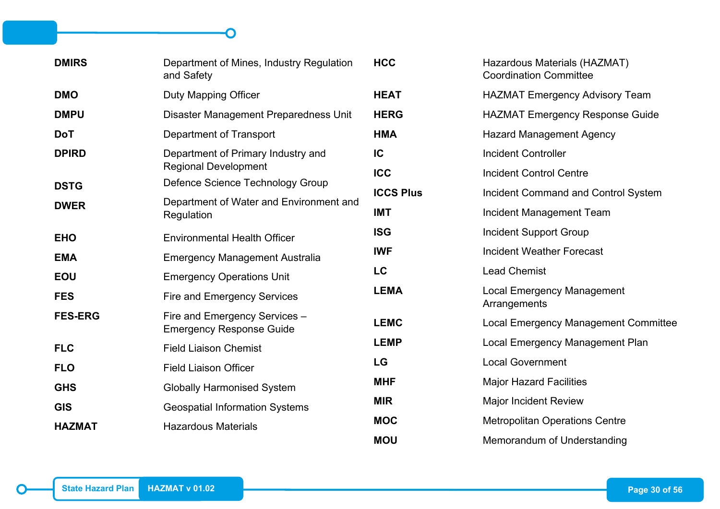| <b>DMIRS</b>   | Department of Mines, Industry Regulation<br>and Safety           | <b>HCC</b>       | Hazardous Materials (HAZMAT)<br><b>Coordination Committee</b> |
|----------------|------------------------------------------------------------------|------------------|---------------------------------------------------------------|
| <b>DMO</b>     | Duty Mapping Officer                                             | <b>HEAT</b>      | <b>HAZMAT Emergency Advisory Team</b>                         |
| <b>DMPU</b>    | Disaster Management Preparedness Unit                            | <b>HERG</b>      | <b>HAZMAT Emergency Response Guide</b>                        |
| <b>DoT</b>     | <b>Department of Transport</b>                                   | <b>HMA</b>       | <b>Hazard Management Agency</b>                               |
| <b>DPIRD</b>   | Department of Primary Industry and                               | IC               | <b>Incident Controller</b>                                    |
|                | <b>Regional Development</b>                                      | <b>ICC</b>       | <b>Incident Control Centre</b>                                |
| <b>DSTG</b>    | Defence Science Technology Group                                 | <b>ICCS Plus</b> | Incident Command and Control System                           |
| <b>DWER</b>    | Department of Water and Environment and<br>Regulation            | <b>IMT</b>       | Incident Management Team                                      |
| <b>EHO</b>     | <b>Environmental Health Officer</b>                              | <b>ISG</b>       | <b>Incident Support Group</b>                                 |
| <b>EMA</b>     | <b>Emergency Management Australia</b>                            | <b>IWF</b>       | <b>Incident Weather Forecast</b>                              |
| <b>EOU</b>     | <b>Emergency Operations Unit</b>                                 | LC               | <b>Lead Chemist</b>                                           |
| <b>FES</b>     | <b>Fire and Emergency Services</b>                               | <b>LEMA</b>      | <b>Local Emergency Management</b><br>Arrangements             |
| <b>FES-ERG</b> | Fire and Emergency Services -<br><b>Emergency Response Guide</b> | <b>LEMC</b>      | <b>Local Emergency Management Committee</b>                   |
| <b>FLC</b>     | <b>Field Liaison Chemist</b>                                     | <b>LEMP</b>      | Local Emergency Management Plan                               |
| <b>FLO</b>     | <b>Field Liaison Officer</b>                                     | <b>LG</b>        | <b>Local Government</b>                                       |
| <b>GHS</b>     | <b>Globally Harmonised System</b>                                | <b>MHF</b>       | <b>Major Hazard Facilities</b>                                |
| <b>GIS</b>     | <b>Geospatial Information Systems</b>                            | <b>MIR</b>       | <b>Major Incident Review</b>                                  |
| <b>HAZMAT</b>  | <b>Hazardous Materials</b>                                       | <b>MOC</b>       | <b>Metropolitan Operations Centre</b>                         |
|                |                                                                  | <b>MOU</b>       | Memorandum of Understanding                                   |

 $\bigcap$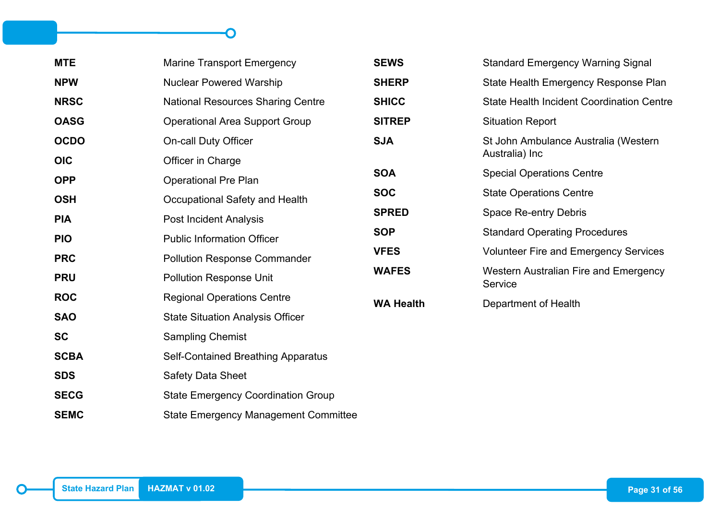| <b>MTE</b>  | <b>Marine Transport Emergency</b>           | <b>SEWS</b>      | <b>Standard Emergency Warning Signal</b>         |
|-------------|---------------------------------------------|------------------|--------------------------------------------------|
| <b>NPW</b>  | <b>Nuclear Powered Warship</b>              | <b>SHERP</b>     | State Health Emergency Response Plan             |
| <b>NRSC</b> | <b>National Resources Sharing Centre</b>    | <b>SHICC</b>     | <b>State Health Incident Coordination Centre</b> |
| <b>OASG</b> | <b>Operational Area Support Group</b>       | <b>SITREP</b>    | <b>Situation Report</b>                          |
| <b>OCDO</b> | <b>On-call Duty Officer</b>                 | <b>SJA</b>       | St John Ambulance Australia (Western             |
| <b>OIC</b>  | Officer in Charge                           |                  | Australia) Inc                                   |
| <b>OPP</b>  | <b>Operational Pre Plan</b>                 | <b>SOA</b>       | <b>Special Operations Centre</b>                 |
| <b>OSH</b>  | Occupational Safety and Health              | <b>SOC</b>       | <b>State Operations Centre</b>                   |
| <b>PIA</b>  | <b>Post Incident Analysis</b>               | <b>SPRED</b>     | <b>Space Re-entry Debris</b>                     |
| <b>PIO</b>  | <b>Public Information Officer</b>           | <b>SOP</b>       | <b>Standard Operating Procedures</b>             |
| <b>PRC</b>  | <b>Pollution Response Commander</b>         | <b>VFES</b>      | <b>Volunteer Fire and Emergency Services</b>     |
| <b>PRU</b>  | <b>Pollution Response Unit</b>              | <b>WAFES</b>     | Western Australian Fire and Emergency<br>Service |
| <b>ROC</b>  | <b>Regional Operations Centre</b>           | <b>WA Health</b> | Department of Health                             |
| <b>SAO</b>  | <b>State Situation Analysis Officer</b>     |                  |                                                  |
| <b>SC</b>   | <b>Sampling Chemist</b>                     |                  |                                                  |
| <b>SCBA</b> | <b>Self-Contained Breathing Apparatus</b>   |                  |                                                  |
| <b>SDS</b>  | <b>Safety Data Sheet</b>                    |                  |                                                  |
| <b>SECG</b> | <b>State Emergency Coordination Group</b>   |                  |                                                  |
| <b>SEMC</b> | <b>State Emergency Management Committee</b> |                  |                                                  |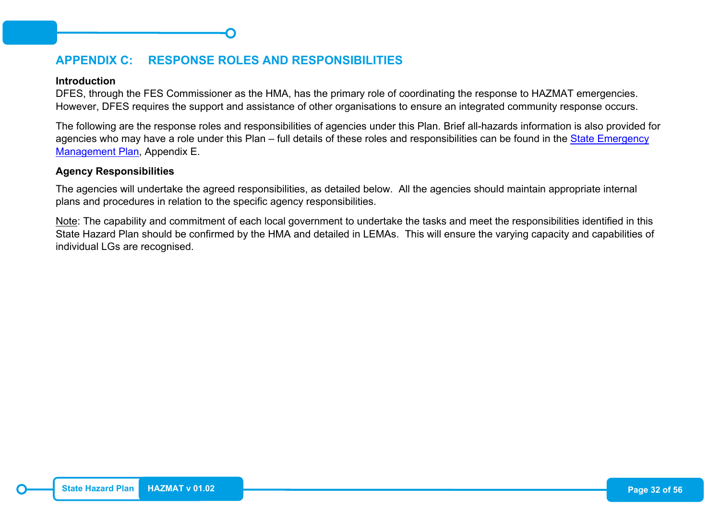## <span id="page-39-0"></span>**APPENDIX C: RESPONSE ROLES AND RESPONSIBILITIES**

#### **Introduction**

DFES, through the FES Commissioner as the HMA, has the primary role of coordinating the response to HAZMAT emergencies. However, DFES requires the support and assistance of other organisations to ensure an integrated community response occurs.

The following are the response roles and responsibilities of agencies under this Plan. Brief all-hazards information is also provided for agencies who may have a role under this Plan – full details of these roles and responsibilities can be found in the State Emergency [Management Plan,](https://semc.wa.gov.au/emergency-management/plans/state-em-plan) Appendix E.

#### **Agency Responsibilities**

The agencies will undertake the agreed responsibilities, as detailed below. All the agencies should maintain appropriate internal plans and procedures in relation to the specific agency responsibilities.

Note: The capability and commitment of each local government to undertake the tasks and meet the responsibilities identified in this State Hazard Plan should be confirmed by the HMA and detailed in LEMAs. This will ensure the varying capacity and capabilities of individual LGs are recognised.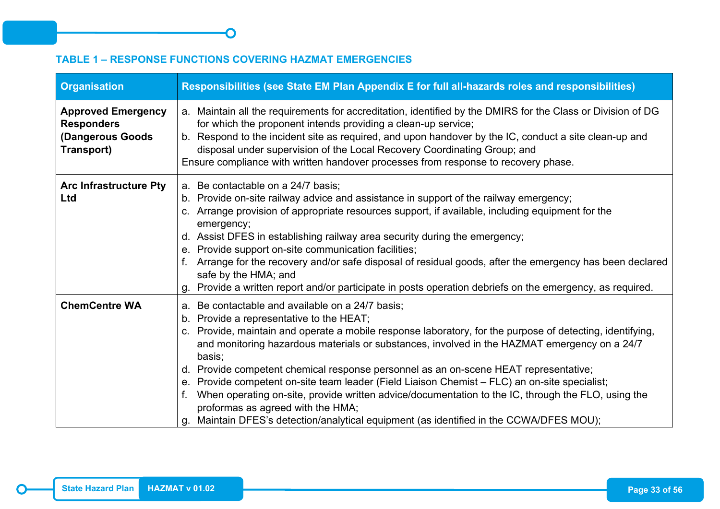## <span id="page-40-0"></span>**TABLE 1 – RESPONSE FUNCTIONS COVERING HAZMAT EMERGENCIES**

| <b>Organisation</b>                                                              | Responsibilities (see State EM Plan Appendix E for full all-hazards roles and responsibilities)                                                                                                                                                                                                                                                                                                                                                                                                                                                                                                                                                                                                                                                       |
|----------------------------------------------------------------------------------|-------------------------------------------------------------------------------------------------------------------------------------------------------------------------------------------------------------------------------------------------------------------------------------------------------------------------------------------------------------------------------------------------------------------------------------------------------------------------------------------------------------------------------------------------------------------------------------------------------------------------------------------------------------------------------------------------------------------------------------------------------|
| <b>Approved Emergency</b><br><b>Responders</b><br>(Dangerous Goods<br>Transport) | a. Maintain all the requirements for accreditation, identified by the DMIRS for the Class or Division of DG<br>for which the proponent intends providing a clean-up service;<br>b. Respond to the incident site as required, and upon handover by the IC, conduct a site clean-up and<br>disposal under supervision of the Local Recovery Coordinating Group; and<br>Ensure compliance with written handover processes from response to recovery phase.                                                                                                                                                                                                                                                                                               |
| <b>Arc Infrastructure Pty</b><br>Ltd                                             | a. Be contactable on a 24/7 basis;<br>b. Provide on-site railway advice and assistance in support of the railway emergency;<br>c. Arrange provision of appropriate resources support, if available, including equipment for the<br>emergency;<br>d. Assist DFES in establishing railway area security during the emergency;<br>e. Provide support on-site communication facilities;<br>f. Arrange for the recovery and/or safe disposal of residual goods, after the emergency has been declared<br>safe by the HMA; and<br>Provide a written report and/or participate in posts operation debriefs on the emergency, as required.<br>g                                                                                                               |
| <b>ChemCentre WA</b>                                                             | a. Be contactable and available on a 24/7 basis;<br>b. Provide a representative to the HEAT;<br>c. Provide, maintain and operate a mobile response laboratory, for the purpose of detecting, identifying,<br>and monitoring hazardous materials or substances, involved in the HAZMAT emergency on a 24/7<br>basis;<br>d. Provide competent chemical response personnel as an on-scene HEAT representative;<br>e. Provide competent on-site team leader (Field Liaison Chemist - FLC) an on-site specialist;<br>When operating on-site, provide written advice/documentation to the IC, through the FLO, using the<br>proformas as agreed with the HMA;<br>Maintain DFES's detection/analytical equipment (as identified in the CCWA/DFES MOU);<br>g. |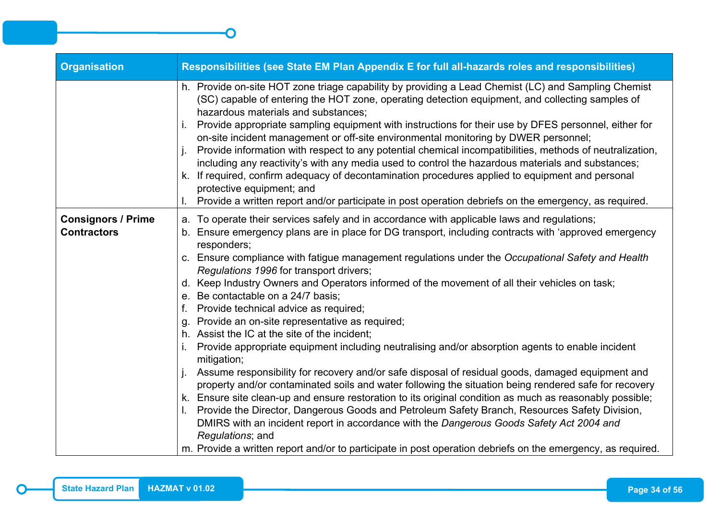| <b>Organisation</b>                             | Responsibilities (see State EM Plan Appendix E for full all-hazards roles and responsibilities)                                                                                                                                                                                                                                                                                                                                                                                                                                                                                                                                                                                                                                                                                                                                                                                                                                                                                                                                                                                                                                                                                                                                                                                                                                                                                                                                             |
|-------------------------------------------------|---------------------------------------------------------------------------------------------------------------------------------------------------------------------------------------------------------------------------------------------------------------------------------------------------------------------------------------------------------------------------------------------------------------------------------------------------------------------------------------------------------------------------------------------------------------------------------------------------------------------------------------------------------------------------------------------------------------------------------------------------------------------------------------------------------------------------------------------------------------------------------------------------------------------------------------------------------------------------------------------------------------------------------------------------------------------------------------------------------------------------------------------------------------------------------------------------------------------------------------------------------------------------------------------------------------------------------------------------------------------------------------------------------------------------------------------|
|                                                 | h. Provide on-site HOT zone triage capability by providing a Lead Chemist (LC) and Sampling Chemist<br>(SC) capable of entering the HOT zone, operating detection equipment, and collecting samples of<br>hazardous materials and substances;<br>Provide appropriate sampling equipment with instructions for their use by DFES personnel, either for<br>on-site incident management or off-site environmental monitoring by DWER personnel;<br>Provide information with respect to any potential chemical incompatibilities, methods of neutralization,<br>including any reactivity's with any media used to control the hazardous materials and substances;<br>k. If required, confirm adequacy of decontamination procedures applied to equipment and personal<br>protective equipment; and<br>Provide a written report and/or participate in post operation debriefs on the emergency, as required.                                                                                                                                                                                                                                                                                                                                                                                                                                                                                                                                     |
| <b>Consignors / Prime</b><br><b>Contractors</b> | a. To operate their services safely and in accordance with applicable laws and regulations;<br>b. Ensure emergency plans are in place for DG transport, including contracts with 'approved emergency<br>responders;<br>c. Ensure compliance with fatigue management regulations under the Occupational Safety and Health<br>Regulations 1996 for transport drivers;<br>d. Keep Industry Owners and Operators informed of the movement of all their vehicles on task;<br>e. Be contactable on a 24/7 basis;<br>f. Provide technical advice as required;<br>g. Provide an on-site representative as required;<br>h. Assist the IC at the site of the incident;<br>Provide appropriate equipment including neutralising and/or absorption agents to enable incident<br>mitigation;<br>Assume responsibility for recovery and/or safe disposal of residual goods, damaged equipment and<br>property and/or contaminated soils and water following the situation being rendered safe for recovery<br>k. Ensure site clean-up and ensure restoration to its original condition as much as reasonably possible;<br>I. Provide the Director, Dangerous Goods and Petroleum Safety Branch, Resources Safety Division,<br>DMIRS with an incident report in accordance with the Dangerous Goods Safety Act 2004 and<br>Regulations; and<br>m. Provide a written report and/or to participate in post operation debriefs on the emergency, as required. |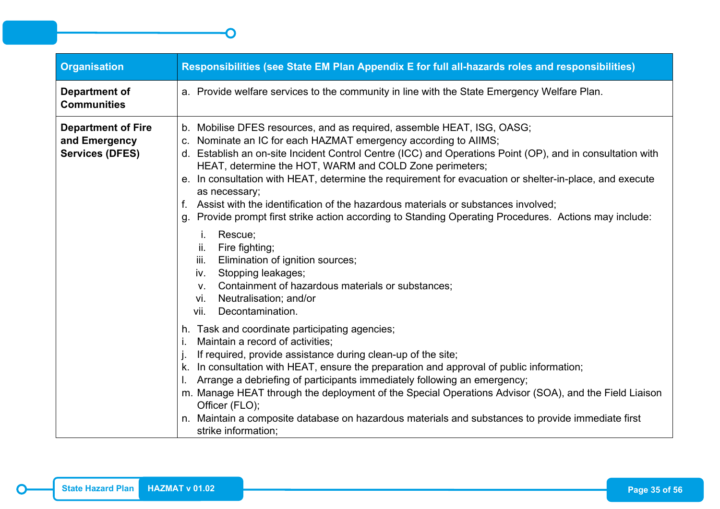| <b>Organisation</b>                                                  | Responsibilities (see State EM Plan Appendix E for full all-hazards roles and responsibilities)                                                                                                                                                                                                                                                                                                                                                                                                                                                                                                                                                 |
|----------------------------------------------------------------------|-------------------------------------------------------------------------------------------------------------------------------------------------------------------------------------------------------------------------------------------------------------------------------------------------------------------------------------------------------------------------------------------------------------------------------------------------------------------------------------------------------------------------------------------------------------------------------------------------------------------------------------------------|
| <b>Department of</b><br><b>Communities</b>                           | a. Provide welfare services to the community in line with the State Emergency Welfare Plan.                                                                                                                                                                                                                                                                                                                                                                                                                                                                                                                                                     |
| <b>Department of Fire</b><br>and Emergency<br><b>Services (DFES)</b> | b. Mobilise DFES resources, and as required, assemble HEAT, ISG, OASG;<br>c. Nominate an IC for each HAZMAT emergency according to AIIMS;<br>d. Establish an on-site Incident Control Centre (ICC) and Operations Point (OP), and in consultation with<br>HEAT, determine the HOT, WARM and COLD Zone perimeters;<br>e. In consultation with HEAT, determine the requirement for evacuation or shelter-in-place, and execute<br>as necessary;<br>f. Assist with the identification of the hazardous materials or substances involved;<br>g. Provide prompt first strike action according to Standing Operating Procedures. Actions may include: |
|                                                                      | Rescue;<br>j.<br>ii.<br>Fire fighting;<br>Elimination of ignition sources;<br>iii.<br>Stopping leakages;<br>iv.<br>Containment of hazardous materials or substances;<br>V.<br>Neutralisation; and/or<br>vi.<br>Decontamination.<br>vii.                                                                                                                                                                                                                                                                                                                                                                                                         |
|                                                                      | h. Task and coordinate participating agencies;<br>Maintain a record of activities;<br>If required, provide assistance during clean-up of the site;<br>k. In consultation with HEAT, ensure the preparation and approval of public information;<br>I. Arrange a debriefing of participants immediately following an emergency;<br>m. Manage HEAT through the deployment of the Special Operations Advisor (SOA), and the Field Liaison<br>Officer (FLO);<br>n. Maintain a composite database on hazardous materials and substances to provide immediate first<br>strike information;                                                             |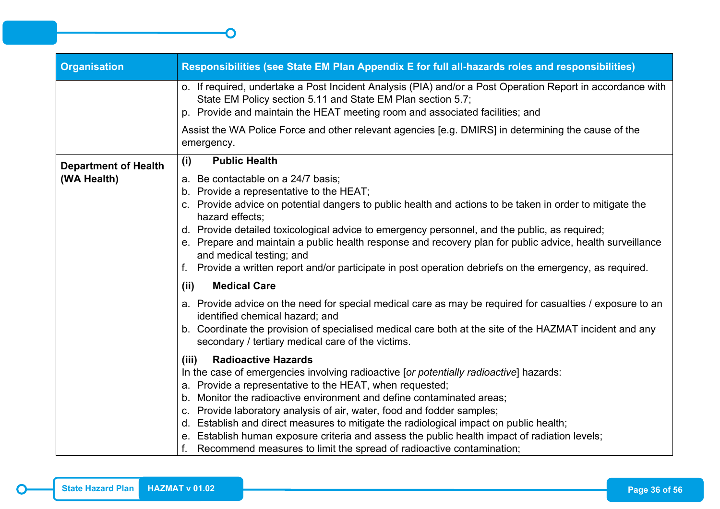| Responsibilities (see State EM Plan Appendix E for full all-hazards roles and responsibilities)                                                                                                                                                                                                                                                                                                                                                                                                                                                                                                                    |
|--------------------------------------------------------------------------------------------------------------------------------------------------------------------------------------------------------------------------------------------------------------------------------------------------------------------------------------------------------------------------------------------------------------------------------------------------------------------------------------------------------------------------------------------------------------------------------------------------------------------|
| o. If required, undertake a Post Incident Analysis (PIA) and/or a Post Operation Report in accordance with<br>State EM Policy section 5.11 and State EM Plan section 5.7;<br>p. Provide and maintain the HEAT meeting room and associated facilities; and                                                                                                                                                                                                                                                                                                                                                          |
| Assist the WA Police Force and other relevant agencies [e.g. DMIRS] in determining the cause of the<br>emergency.                                                                                                                                                                                                                                                                                                                                                                                                                                                                                                  |
| <b>Public Health</b><br>(i)                                                                                                                                                                                                                                                                                                                                                                                                                                                                                                                                                                                        |
| a. Be contactable on a 24/7 basis;<br>b. Provide a representative to the HEAT;                                                                                                                                                                                                                                                                                                                                                                                                                                                                                                                                     |
| c. Provide advice on potential dangers to public health and actions to be taken in order to mitigate the<br>hazard effects;                                                                                                                                                                                                                                                                                                                                                                                                                                                                                        |
| d. Provide detailed toxicological advice to emergency personnel, and the public, as required;<br>e. Prepare and maintain a public health response and recovery plan for public advice, health surveillance<br>and medical testing; and                                                                                                                                                                                                                                                                                                                                                                             |
| f. Provide a written report and/or participate in post operation debriefs on the emergency, as required.                                                                                                                                                                                                                                                                                                                                                                                                                                                                                                           |
| <b>Medical Care</b><br>(ii)                                                                                                                                                                                                                                                                                                                                                                                                                                                                                                                                                                                        |
| a. Provide advice on the need for special medical care as may be required for casualties / exposure to an<br>identified chemical hazard; and                                                                                                                                                                                                                                                                                                                                                                                                                                                                       |
| b. Coordinate the provision of specialised medical care both at the site of the HAZMAT incident and any<br>secondary / tertiary medical care of the victims.                                                                                                                                                                                                                                                                                                                                                                                                                                                       |
| <b>Radioactive Hazards</b><br>(iii)<br>In the case of emergencies involving radioactive [or potentially radioactive] hazards:<br>a. Provide a representative to the HEAT, when requested;<br>b. Monitor the radioactive environment and define contaminated areas;<br>c. Provide laboratory analysis of air, water, food and fodder samples;<br>d. Establish and direct measures to mitigate the radiological impact on public health;<br>e. Establish human exposure criteria and assess the public health impact of radiation levels;<br>f. Recommend measures to limit the spread of radioactive contamination; |
|                                                                                                                                                                                                                                                                                                                                                                                                                                                                                                                                                                                                                    |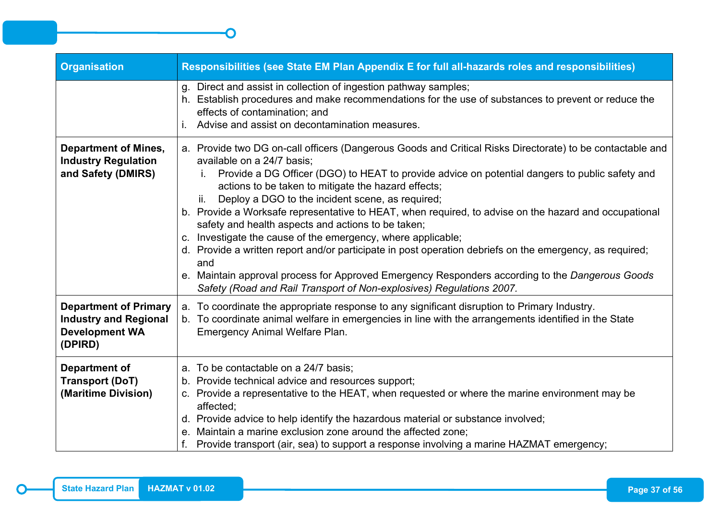| <b>Organisation</b>                                                                              | Responsibilities (see State EM Plan Appendix E for full all-hazards roles and responsibilities)                                                                                                                                                                                                                                                                                                                                                                                                                                                                                                                                                                                                                                                                                                                                                                                          |
|--------------------------------------------------------------------------------------------------|------------------------------------------------------------------------------------------------------------------------------------------------------------------------------------------------------------------------------------------------------------------------------------------------------------------------------------------------------------------------------------------------------------------------------------------------------------------------------------------------------------------------------------------------------------------------------------------------------------------------------------------------------------------------------------------------------------------------------------------------------------------------------------------------------------------------------------------------------------------------------------------|
|                                                                                                  | g. Direct and assist in collection of ingestion pathway samples;<br>h. Establish procedures and make recommendations for the use of substances to prevent or reduce the<br>effects of contamination; and<br>Advise and assist on decontamination measures.                                                                                                                                                                                                                                                                                                                                                                                                                                                                                                                                                                                                                               |
| <b>Department of Mines,</b><br><b>Industry Regulation</b><br>and Safety (DMIRS)                  | a. Provide two DG on-call officers (Dangerous Goods and Critical Risks Directorate) to be contactable and<br>available on a 24/7 basis;<br>Provide a DG Officer (DGO) to HEAT to provide advice on potential dangers to public safety and<br>actions to be taken to mitigate the hazard effects;<br>Deploy a DGO to the incident scene, as required;<br>ii.<br>b. Provide a Worksafe representative to HEAT, when required, to advise on the hazard and occupational<br>safety and health aspects and actions to be taken;<br>c. Investigate the cause of the emergency, where applicable;<br>d. Provide a written report and/or participate in post operation debriefs on the emergency, as required;<br>and<br>e. Maintain approval process for Approved Emergency Responders according to the Dangerous Goods<br>Safety (Road and Rail Transport of Non-explosives) Regulations 2007. |
| <b>Department of Primary</b><br><b>Industry and Regional</b><br><b>Development WA</b><br>(DPIRD) | a. To coordinate the appropriate response to any significant disruption to Primary Industry.<br>b. To coordinate animal welfare in emergencies in line with the arrangements identified in the State<br><b>Emergency Animal Welfare Plan.</b>                                                                                                                                                                                                                                                                                                                                                                                                                                                                                                                                                                                                                                            |
| <b>Department of</b><br><b>Transport (DoT)</b><br>(Maritime Division)                            | a. To be contactable on a 24/7 basis;<br>b. Provide technical advice and resources support;<br>c. Provide a representative to the HEAT, when requested or where the marine environment may be<br>affected;<br>d. Provide advice to help identify the hazardous material or substance involved;<br>e. Maintain a marine exclusion zone around the affected zone;<br>f. Provide transport (air, sea) to support a response involving a marine HAZMAT emergency;                                                                                                                                                                                                                                                                                                                                                                                                                            |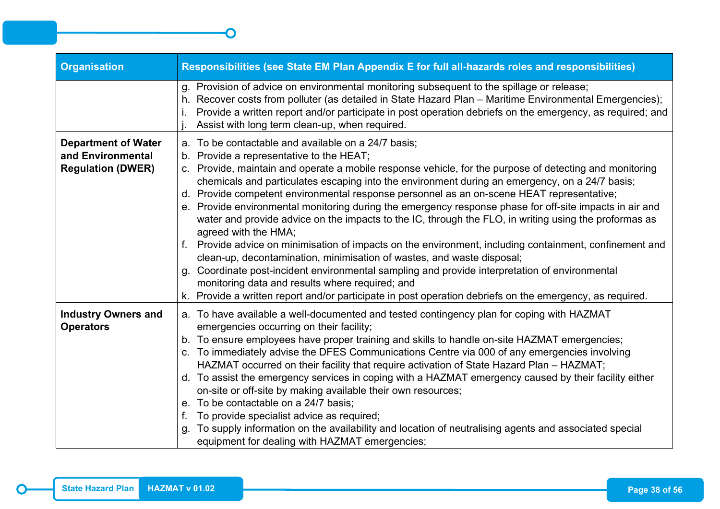| <b>Organisation</b>                                                         | Responsibilities (see State EM Plan Appendix E for full all-hazards roles and responsibilities)                                                                                                                                                                                                                                                                                                                                                                                                                                                                                                                                                                                                                                                                                                                                                                                                                                                                                                                                                                                                             |
|-----------------------------------------------------------------------------|-------------------------------------------------------------------------------------------------------------------------------------------------------------------------------------------------------------------------------------------------------------------------------------------------------------------------------------------------------------------------------------------------------------------------------------------------------------------------------------------------------------------------------------------------------------------------------------------------------------------------------------------------------------------------------------------------------------------------------------------------------------------------------------------------------------------------------------------------------------------------------------------------------------------------------------------------------------------------------------------------------------------------------------------------------------------------------------------------------------|
|                                                                             | g. Provision of advice on environmental monitoring subsequent to the spillage or release;<br>h. Recover costs from polluter (as detailed in State Hazard Plan - Maritime Environmental Emergencies);<br>Provide a written report and/or participate in post operation debriefs on the emergency, as required; and<br>Assist with long term clean-up, when required.                                                                                                                                                                                                                                                                                                                                                                                                                                                                                                                                                                                                                                                                                                                                         |
| <b>Department of Water</b><br>and Environmental<br><b>Regulation (DWER)</b> | a. To be contactable and available on a 24/7 basis;<br>b. Provide a representative to the HEAT;<br>c. Provide, maintain and operate a mobile response vehicle, for the purpose of detecting and monitoring<br>chemicals and particulates escaping into the environment during an emergency, on a 24/7 basis;<br>d. Provide competent environmental response personnel as an on-scene HEAT representative;<br>e. Provide environmental monitoring during the emergency response phase for off-site impacts in air and<br>water and provide advice on the impacts to the IC, through the FLO, in writing using the proformas as<br>agreed with the HMA;<br>f. Provide advice on minimisation of impacts on the environment, including containment, confinement and<br>clean-up, decontamination, minimisation of wastes, and waste disposal;<br>g. Coordinate post-incident environmental sampling and provide interpretation of environmental<br>monitoring data and results where required; and<br>k. Provide a written report and/or participate in post operation debriefs on the emergency, as required. |
| <b>Industry Owners and</b><br><b>Operators</b>                              | a. To have available a well-documented and tested contingency plan for coping with HAZMAT<br>emergencies occurring on their facility;<br>b. To ensure employees have proper training and skills to handle on-site HAZMAT emergencies;<br>c. To immediately advise the DFES Communications Centre via 000 of any emergencies involving<br>HAZMAT occurred on their facility that require activation of State Hazard Plan - HAZMAT;<br>d. To assist the emergency services in coping with a HAZMAT emergency caused by their facility either<br>on-site or off-site by making available their own resources;<br>e. To be contactable on a 24/7 basis;<br>To provide specialist advice as required;<br>f.<br>To supply information on the availability and location of neutralising agents and associated special<br>q.<br>equipment for dealing with HAZMAT emergencies;                                                                                                                                                                                                                                      |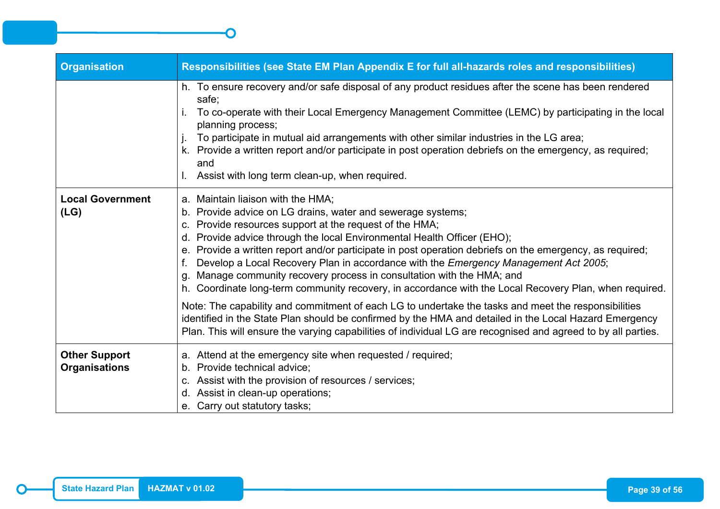| <b>Organisation</b>                          | Responsibilities (see State EM Plan Appendix E for full all-hazards roles and responsibilities)                                                                                                                                                                                                                                                                                                                                                                                                                                                                                                                                                                                                                                                                                                                                                                                                                                                                 |
|----------------------------------------------|-----------------------------------------------------------------------------------------------------------------------------------------------------------------------------------------------------------------------------------------------------------------------------------------------------------------------------------------------------------------------------------------------------------------------------------------------------------------------------------------------------------------------------------------------------------------------------------------------------------------------------------------------------------------------------------------------------------------------------------------------------------------------------------------------------------------------------------------------------------------------------------------------------------------------------------------------------------------|
|                                              | h. To ensure recovery and/or safe disposal of any product residues after the scene has been rendered<br>safe;<br>To co-operate with their Local Emergency Management Committee (LEMC) by participating in the local<br>planning process;<br>To participate in mutual aid arrangements with other similar industries in the LG area;<br>k. Provide a written report and/or participate in post operation debriefs on the emergency, as required;<br>and<br>I. Assist with long term clean-up, when required.                                                                                                                                                                                                                                                                                                                                                                                                                                                     |
| <b>Local Government</b><br>(LG)              | a. Maintain liaison with the HMA;<br>b. Provide advice on LG drains, water and sewerage systems;<br>c. Provide resources support at the request of the HMA;<br>d. Provide advice through the local Environmental Health Officer (EHO);<br>e. Provide a written report and/or participate in post operation debriefs on the emergency, as required;<br>Develop a Local Recovery Plan in accordance with the Emergency Management Act 2005;<br>g. Manage community recovery process in consultation with the HMA; and<br>h. Coordinate long-term community recovery, in accordance with the Local Recovery Plan, when required.<br>Note: The capability and commitment of each LG to undertake the tasks and meet the responsibilities<br>identified in the State Plan should be confirmed by the HMA and detailed in the Local Hazard Emergency<br>Plan. This will ensure the varying capabilities of individual LG are recognised and agreed to by all parties. |
| <b>Other Support</b><br><b>Organisations</b> | a. Attend at the emergency site when requested / required;<br>b. Provide technical advice;<br>c. Assist with the provision of resources / services;<br>d. Assist in clean-up operations;<br>e. Carry out statutory tasks;                                                                                                                                                                                                                                                                                                                                                                                                                                                                                                                                                                                                                                                                                                                                       |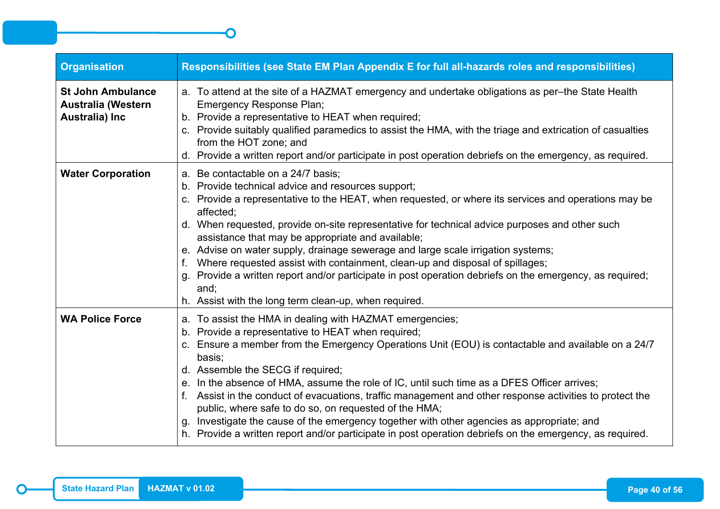| <b>Organisation</b>                                                     | Responsibilities (see State EM Plan Appendix E for full all-hazards roles and responsibilities)                                                                                                                                                                                                                                                                                                                                                                                                                                                                                                                                                                                                                                                   |
|-------------------------------------------------------------------------|---------------------------------------------------------------------------------------------------------------------------------------------------------------------------------------------------------------------------------------------------------------------------------------------------------------------------------------------------------------------------------------------------------------------------------------------------------------------------------------------------------------------------------------------------------------------------------------------------------------------------------------------------------------------------------------------------------------------------------------------------|
| <b>St John Ambulance</b><br><b>Australia (Western</b><br>Australia) Inc | a. To attend at the site of a HAZMAT emergency and undertake obligations as per-the State Health<br><b>Emergency Response Plan;</b><br>b. Provide a representative to HEAT when required;<br>c. Provide suitably qualified paramedics to assist the HMA, with the triage and extrication of casualties<br>from the HOT zone; and<br>d. Provide a written report and/or participate in post operation debriefs on the emergency, as required.                                                                                                                                                                                                                                                                                                      |
| <b>Water Corporation</b>                                                | a. Be contactable on a 24/7 basis;<br>b. Provide technical advice and resources support;<br>c. Provide a representative to the HEAT, when requested, or where its services and operations may be<br>affected;<br>d. When requested, provide on-site representative for technical advice purposes and other such<br>assistance that may be appropriate and available;<br>e. Advise on water supply, drainage sewerage and large scale irrigation systems;<br>f. Where requested assist with containment, clean-up and disposal of spillages;<br>g. Provide a written report and/or participate in post operation debriefs on the emergency, as required;<br>and;<br>h. Assist with the long term clean-up, when required.                          |
| <b>WA Police Force</b>                                                  | a. To assist the HMA in dealing with HAZMAT emergencies;<br>b. Provide a representative to HEAT when required;<br>c. Ensure a member from the Emergency Operations Unit (EOU) is contactable and available on a 24/7<br>basis;<br>d. Assemble the SECG if required;<br>e. In the absence of HMA, assume the role of IC, until such time as a DFES Officer arrives;<br>f. Assist in the conduct of evacuations, traffic management and other response activities to protect the<br>public, where safe to do so, on requested of the HMA;<br>g. Investigate the cause of the emergency together with other agencies as appropriate; and<br>h. Provide a written report and/or participate in post operation debriefs on the emergency, as required. |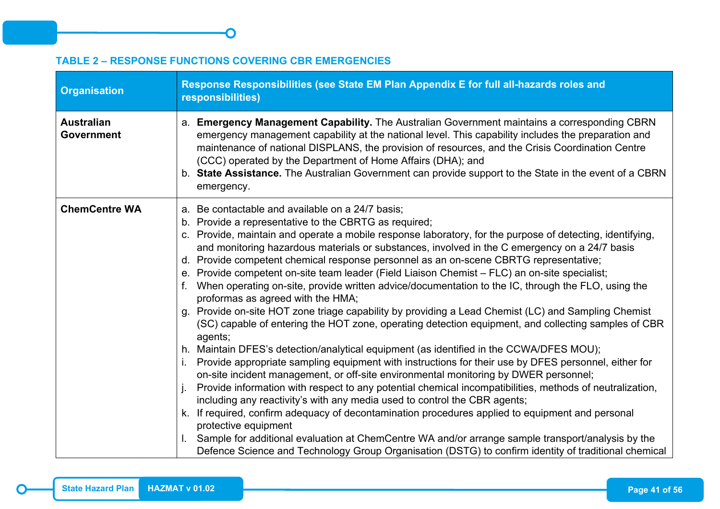#### <span id="page-48-0"></span>**TABLE 2 – RESPONSE FUNCTIONS COVERING CBR EMERGENCIES**

 $\bigcap$ 

| <b>Organisation</b>                    | Response Responsibilities (see State EM Plan Appendix E for full all-hazards roles and<br>responsibilities)                                                                                                                                                                                                                                                                                                                                                                                                                                                                                                                                                                                                                                                                                                                                                                                                                                                                                                                                                                                                                                                                                                                                                                                                                                                                                                                                                                                                                                                                                                                                                                                                                          |
|----------------------------------------|--------------------------------------------------------------------------------------------------------------------------------------------------------------------------------------------------------------------------------------------------------------------------------------------------------------------------------------------------------------------------------------------------------------------------------------------------------------------------------------------------------------------------------------------------------------------------------------------------------------------------------------------------------------------------------------------------------------------------------------------------------------------------------------------------------------------------------------------------------------------------------------------------------------------------------------------------------------------------------------------------------------------------------------------------------------------------------------------------------------------------------------------------------------------------------------------------------------------------------------------------------------------------------------------------------------------------------------------------------------------------------------------------------------------------------------------------------------------------------------------------------------------------------------------------------------------------------------------------------------------------------------------------------------------------------------------------------------------------------------|
| <b>Australian</b><br><b>Government</b> | a. Emergency Management Capability. The Australian Government maintains a corresponding CBRN<br>emergency management capability at the national level. This capability includes the preparation and<br>maintenance of national DISPLANS, the provision of resources, and the Crisis Coordination Centre<br>(CCC) operated by the Department of Home Affairs (DHA); and<br>b. State Assistance. The Australian Government can provide support to the State in the event of a CBRN<br>emergency.                                                                                                                                                                                                                                                                                                                                                                                                                                                                                                                                                                                                                                                                                                                                                                                                                                                                                                                                                                                                                                                                                                                                                                                                                                       |
| <b>ChemCentre WA</b>                   | a. Be contactable and available on a 24/7 basis;<br>b. Provide a representative to the CBRTG as required;<br>c. Provide, maintain and operate a mobile response laboratory, for the purpose of detecting, identifying,<br>and monitoring hazardous materials or substances, involved in the C emergency on a 24/7 basis<br>d. Provide competent chemical response personnel as an on-scene CBRTG representative;<br>e. Provide competent on-site team leader (Field Liaison Chemist - FLC) an on-site specialist;<br>When operating on-site, provide written advice/documentation to the IC, through the FLO, using the<br>$f_{\cdot}$<br>proformas as agreed with the HMA;<br>g. Provide on-site HOT zone triage capability by providing a Lead Chemist (LC) and Sampling Chemist<br>(SC) capable of entering the HOT zone, operating detection equipment, and collecting samples of CBR<br>agents;<br>h. Maintain DFES's detection/analytical equipment (as identified in the CCWA/DFES MOU);<br>i. Provide appropriate sampling equipment with instructions for their use by DFES personnel, either for<br>on-site incident management, or off-site environmental monitoring by DWER personnel;<br>Provide information with respect to any potential chemical incompatibilities, methods of neutralization,<br>including any reactivity's with any media used to control the CBR agents;<br>k. If required, confirm adequacy of decontamination procedures applied to equipment and personal<br>protective equipment<br>Sample for additional evaluation at ChemCentre WA and/or arrange sample transport/analysis by the<br>Defence Science and Technology Group Organisation (DSTG) to confirm identity of traditional chemical |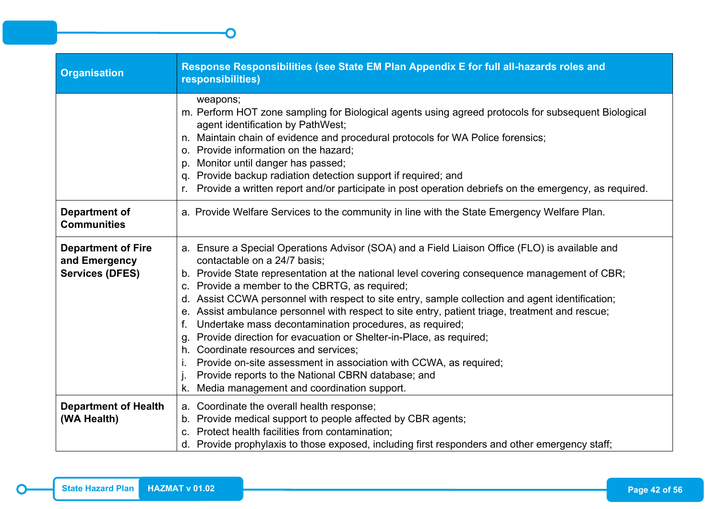| <b>Organisation</b>                                                  | Response Responsibilities (see State EM Plan Appendix E for full all-hazards roles and<br>responsibilities)                                                                                                                                                                                                                                                                                                                                                                                                                                                                                                                                                                                                                                                                                                                                          |
|----------------------------------------------------------------------|------------------------------------------------------------------------------------------------------------------------------------------------------------------------------------------------------------------------------------------------------------------------------------------------------------------------------------------------------------------------------------------------------------------------------------------------------------------------------------------------------------------------------------------------------------------------------------------------------------------------------------------------------------------------------------------------------------------------------------------------------------------------------------------------------------------------------------------------------|
|                                                                      | weapons;<br>m. Perform HOT zone sampling for Biological agents using agreed protocols for subsequent Biological<br>agent identification by PathWest;<br>n. Maintain chain of evidence and procedural protocols for WA Police forensics;<br>o. Provide information on the hazard:<br>p. Monitor until danger has passed;<br>q. Provide backup radiation detection support if required; and<br>Provide a written report and/or participate in post operation debriefs on the emergency, as required.                                                                                                                                                                                                                                                                                                                                                   |
| <b>Department of</b><br><b>Communities</b>                           | a. Provide Welfare Services to the community in line with the State Emergency Welfare Plan.                                                                                                                                                                                                                                                                                                                                                                                                                                                                                                                                                                                                                                                                                                                                                          |
| <b>Department of Fire</b><br>and Emergency<br><b>Services (DFES)</b> | a. Ensure a Special Operations Advisor (SOA) and a Field Liaison Office (FLO) is available and<br>contactable on a 24/7 basis;<br>b. Provide State representation at the national level covering consequence management of CBR;<br>c. Provide a member to the CBRTG, as required;<br>d. Assist CCWA personnel with respect to site entry, sample collection and agent identification;<br>e. Assist ambulance personnel with respect to site entry, patient triage, treatment and rescue;<br>Undertake mass decontamination procedures, as required;<br>Provide direction for evacuation or Shelter-in-Place, as required;<br>g.<br>h. Coordinate resources and services:<br>Provide on-site assessment in association with CCWA, as required;<br>Provide reports to the National CBRN database; and<br>k. Media management and coordination support. |
| <b>Department of Health</b><br>(WA Health)                           | a. Coordinate the overall health response;<br>b. Provide medical support to people affected by CBR agents;<br>c. Protect health facilities from contamination;<br>d. Provide prophylaxis to those exposed, including first responders and other emergency staff;                                                                                                                                                                                                                                                                                                                                                                                                                                                                                                                                                                                     |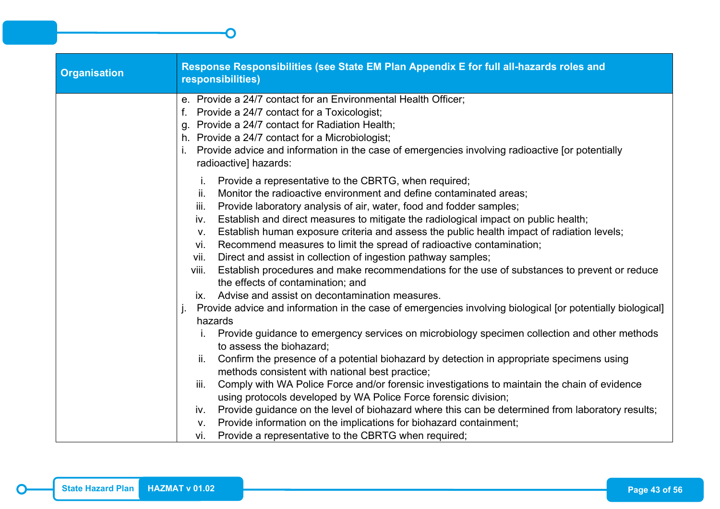| <b>Organisation</b> | Response Responsibilities (see State EM Plan Appendix E for full all-hazards roles and<br>responsibilities)                                                                                                                                                                                                                                                                                                                                                                                                                                                                                                                                                                                                                                                                                                                                                                                            |
|---------------------|--------------------------------------------------------------------------------------------------------------------------------------------------------------------------------------------------------------------------------------------------------------------------------------------------------------------------------------------------------------------------------------------------------------------------------------------------------------------------------------------------------------------------------------------------------------------------------------------------------------------------------------------------------------------------------------------------------------------------------------------------------------------------------------------------------------------------------------------------------------------------------------------------------|
|                     | e. Provide a 24/7 contact for an Environmental Health Officer;<br>Provide a 24/7 contact for a Toxicologist;<br>g. Provide a 24/7 contact for Radiation Health;<br>h. Provide a 24/7 contact for a Microbiologist;<br>Provide advice and information in the case of emergencies involving radioactive [or potentially<br>radioactive] hazards:                                                                                                                                                                                                                                                                                                                                                                                                                                                                                                                                                         |
|                     | Provide a representative to the CBRTG, when required;<br>Ι.<br>Monitor the radioactive environment and define contaminated areas;<br>ii.<br>Provide laboratory analysis of air, water, food and fodder samples;<br>iii.<br>Establish and direct measures to mitigate the radiological impact on public health;<br>iv.<br>Establish human exposure criteria and assess the public health impact of radiation levels;<br>V.<br>Recommend measures to limit the spread of radioactive contamination;<br>vi.<br>Direct and assist in collection of ingestion pathway samples;<br>vii.<br>Establish procedures and make recommendations for the use of substances to prevent or reduce<br>viii.<br>the effects of contamination; and<br>Advise and assist on decontamination measures.<br>IX.<br>Provide advice and information in the case of emergencies involving biological [or potentially biological] |
|                     | hazards<br>Provide guidance to emergency services on microbiology specimen collection and other methods<br>to assess the biohazard;<br>Confirm the presence of a potential biohazard by detection in appropriate specimens using<br>ii.<br>methods consistent with national best practice;<br>Comply with WA Police Force and/or forensic investigations to maintain the chain of evidence<br>iii.<br>using protocols developed by WA Police Force forensic division;                                                                                                                                                                                                                                                                                                                                                                                                                                  |
|                     | Provide guidance on the level of biohazard where this can be determined from laboratory results;<br>iv.<br>Provide information on the implications for biohazard containment;<br>$V_{\cdot}$<br>Provide a representative to the CBRTG when required;<br>Vİ.                                                                                                                                                                                                                                                                                                                                                                                                                                                                                                                                                                                                                                            |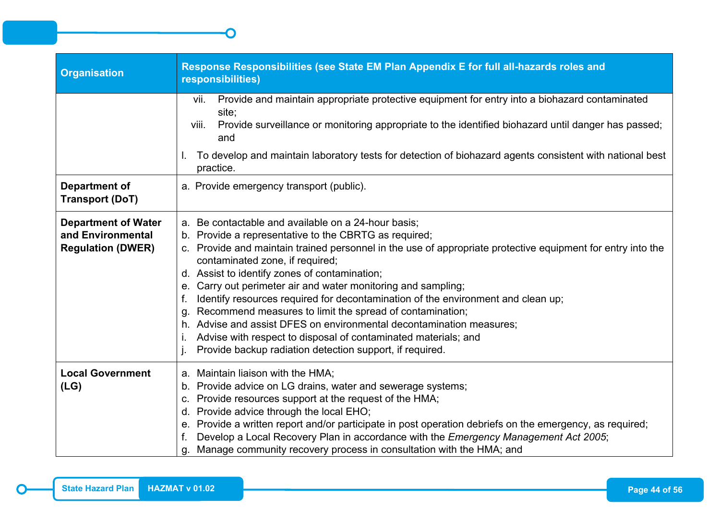| <b>Organisation</b>                                                         | Response Responsibilities (see State EM Plan Appendix E for full all-hazards roles and<br>responsibilities)                                                                                                                                                                                                                                                                                                                                                                                                                                                                                                                                                                                                                                           |
|-----------------------------------------------------------------------------|-------------------------------------------------------------------------------------------------------------------------------------------------------------------------------------------------------------------------------------------------------------------------------------------------------------------------------------------------------------------------------------------------------------------------------------------------------------------------------------------------------------------------------------------------------------------------------------------------------------------------------------------------------------------------------------------------------------------------------------------------------|
|                                                                             | Provide and maintain appropriate protective equipment for entry into a biohazard contaminated<br>Vii.<br>site;<br>Provide surveillance or monitoring appropriate to the identified biohazard until danger has passed;<br>viii.<br>and                                                                                                                                                                                                                                                                                                                                                                                                                                                                                                                 |
|                                                                             | To develop and maintain laboratory tests for detection of biohazard agents consistent with national best<br>practice.                                                                                                                                                                                                                                                                                                                                                                                                                                                                                                                                                                                                                                 |
| <b>Department of</b><br><b>Transport (DoT)</b>                              | a. Provide emergency transport (public).                                                                                                                                                                                                                                                                                                                                                                                                                                                                                                                                                                                                                                                                                                              |
| <b>Department of Water</b><br>and Environmental<br><b>Regulation (DWER)</b> | a. Be contactable and available on a 24-hour basis;<br>b. Provide a representative to the CBRTG as required;<br>c. Provide and maintain trained personnel in the use of appropriate protective equipment for entry into the<br>contaminated zone, if required;<br>d. Assist to identify zones of contamination;<br>e. Carry out perimeter air and water monitoring and sampling;<br>Identify resources required for decontamination of the environment and clean up;<br>f.<br>g. Recommend measures to limit the spread of contamination;<br>h. Advise and assist DFES on environmental decontamination measures;<br>Advise with respect to disposal of contaminated materials; and<br>Ι.<br>Provide backup radiation detection support, if required. |
| <b>Local Government</b><br>(LG)                                             | a. Maintain liaison with the HMA;<br>b. Provide advice on LG drains, water and sewerage systems;<br>c. Provide resources support at the request of the HMA;<br>d. Provide advice through the local EHO;<br>e. Provide a written report and/or participate in post operation debriefs on the emergency, as required;<br>Develop a Local Recovery Plan in accordance with the Emergency Management Act 2005;<br>f.<br>Manage community recovery process in consultation with the HMA; and<br>g.                                                                                                                                                                                                                                                         |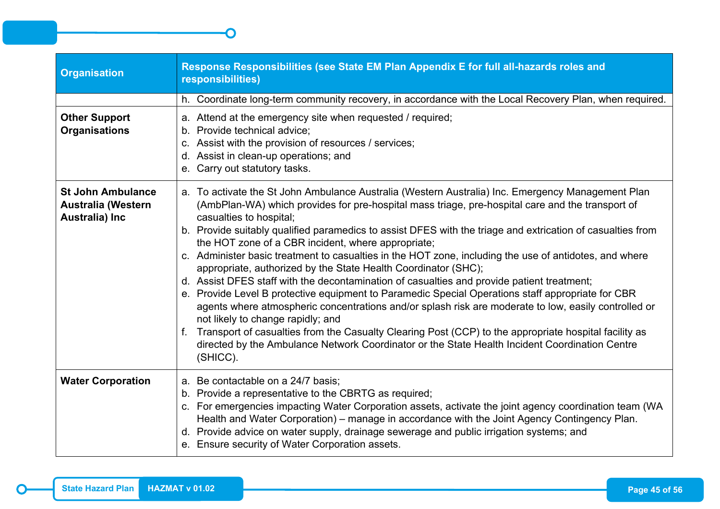| <b>Organisation</b>                                                     | Response Responsibilities (see State EM Plan Appendix E for full all-hazards roles and<br>responsibilities)                                                                                                                                                                                                                                                                                                                                                                                                                                                                                                                                                                                                                                                                                                                                                                                                                                                                                                                                                                                                                                                |
|-------------------------------------------------------------------------|------------------------------------------------------------------------------------------------------------------------------------------------------------------------------------------------------------------------------------------------------------------------------------------------------------------------------------------------------------------------------------------------------------------------------------------------------------------------------------------------------------------------------------------------------------------------------------------------------------------------------------------------------------------------------------------------------------------------------------------------------------------------------------------------------------------------------------------------------------------------------------------------------------------------------------------------------------------------------------------------------------------------------------------------------------------------------------------------------------------------------------------------------------|
|                                                                         | h. Coordinate long-term community recovery, in accordance with the Local Recovery Plan, when required.                                                                                                                                                                                                                                                                                                                                                                                                                                                                                                                                                                                                                                                                                                                                                                                                                                                                                                                                                                                                                                                     |
| <b>Other Support</b><br><b>Organisations</b>                            | a. Attend at the emergency site when requested / required;<br>b. Provide technical advice;<br>c. Assist with the provision of resources / services;<br>d. Assist in clean-up operations; and<br>e. Carry out statutory tasks.                                                                                                                                                                                                                                                                                                                                                                                                                                                                                                                                                                                                                                                                                                                                                                                                                                                                                                                              |
| <b>St John Ambulance</b><br><b>Australia (Western</b><br>Australia) Inc | a. To activate the St John Ambulance Australia (Western Australia) Inc. Emergency Management Plan<br>(AmbPlan-WA) which provides for pre-hospital mass triage, pre-hospital care and the transport of<br>casualties to hospital;<br>b. Provide suitably qualified paramedics to assist DFES with the triage and extrication of casualties from<br>the HOT zone of a CBR incident, where appropriate;<br>c. Administer basic treatment to casualties in the HOT zone, including the use of antidotes, and where<br>appropriate, authorized by the State Health Coordinator (SHC);<br>d. Assist DFES staff with the decontamination of casualties and provide patient treatment;<br>e. Provide Level B protective equipment to Paramedic Special Operations staff appropriate for CBR<br>agents where atmospheric concentrations and/or splash risk are moderate to low, easily controlled or<br>not likely to change rapidly; and<br>f. Transport of casualties from the Casualty Clearing Post (CCP) to the appropriate hospital facility as<br>directed by the Ambulance Network Coordinator or the State Health Incident Coordination Centre<br>(SHICC). |
| <b>Water Corporation</b>                                                | a. Be contactable on a 24/7 basis;<br>b. Provide a representative to the CBRTG as required;<br>c. For emergencies impacting Water Corporation assets, activate the joint agency coordination team (WA<br>Health and Water Corporation) – manage in accordance with the Joint Agency Contingency Plan.<br>d. Provide advice on water supply, drainage sewerage and public irrigation systems; and<br>e. Ensure security of Water Corporation assets.                                                                                                                                                                                                                                                                                                                                                                                                                                                                                                                                                                                                                                                                                                        |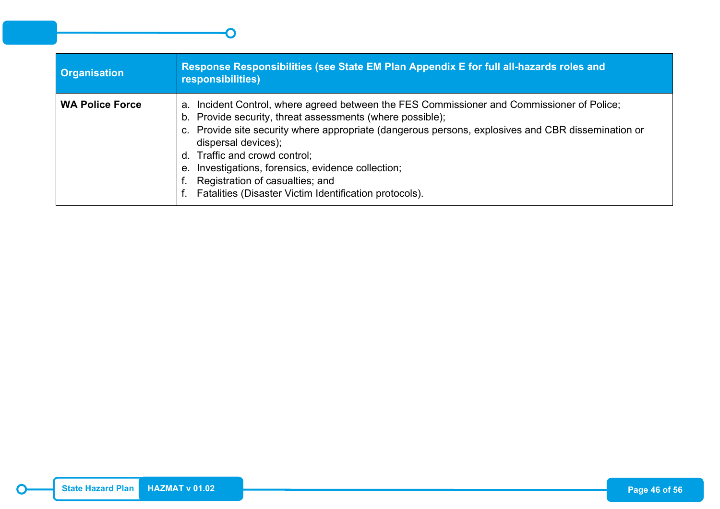| <b>Organisation</b>    | Response Responsibilities (see State EM Plan Appendix E for full all-hazards roles and<br>responsibilities)                                                                                                                                                                                                                                                                                                                                                                 |
|------------------------|-----------------------------------------------------------------------------------------------------------------------------------------------------------------------------------------------------------------------------------------------------------------------------------------------------------------------------------------------------------------------------------------------------------------------------------------------------------------------------|
| <b>WA Police Force</b> | a. Incident Control, where agreed between the FES Commissioner and Commissioner of Police;<br>b. Provide security, threat assessments (where possible);<br>c. Provide site security where appropriate (dangerous persons, explosives and CBR dissemination or<br>dispersal devices);<br>d. Traffic and crowd control;<br>e. Investigations, forensics, evidence collection;<br>Registration of casualties; and<br>f. Fatalities (Disaster Victim Identification protocols). |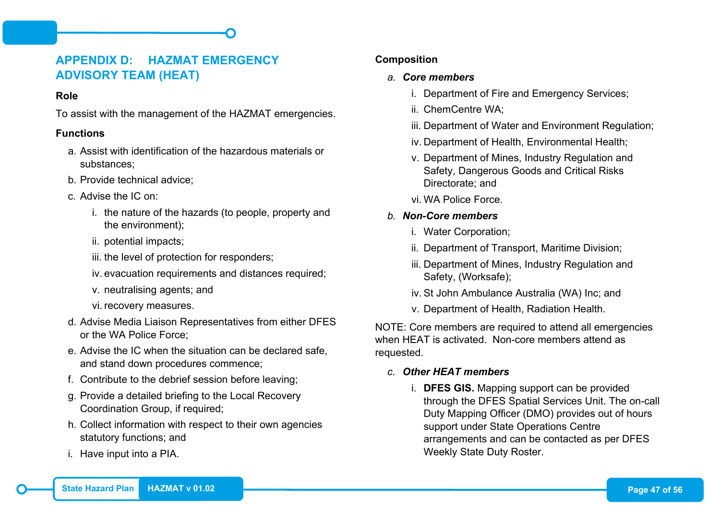## <span id="page-54-0"></span>**APPENDIX D: HAZMAT EMERGENCY ADVISORY TEAM (HEAT)**

#### **Role**

To assist with the management of the HAZMAT emergencies.

#### **Functions**

- a. Assist with identification of the hazardous materials or substances;
- b. Provide technical advice;
- c. Advise the IC on:
	- i. the nature of the hazards (to people, property and the environment);
	- ii. potential impacts;
	- iii. the level of protection for responders;
	- iv. evacuation requirements and distances required;
	- v. neutralising agents; and
	- vi. recovery measures.
- d. Advise Media Liaison Representatives from either DFES or the WA Police Force;
- e. Advise the IC when the situation can be declared safe, and stand down procedures commence;
- f. Contribute to the debrief session before leaving;
- g. Provide a detailed briefing to the Local Recovery Coordination Group, if required;
- h. Collect information with respect to their own agencies statutory functions; and
- i. Have input into a PIA.

#### **Composition**

#### *a. Core members*

- i. Department of Fire and Emergency Services;
- ii. ChemCentre WA;
- iii. Department of Water and Environment Regulation;
- iv. Department of Health, Environmental Health;
- v. Department of Mines, Industry Regulation and Safety, Dangerous Goods and Critical Risks Directorate; and
- vi. WA Police Force.
- *b. Non-Core members*
	- i. Water Corporation;
	- ii. Department of Transport, Maritime Division;
	- iii. Department of Mines, Industry Regulation and Safety, (Worksafe);
	- iv. St John Ambulance Australia (WA) Inc; and
	- v. Department of Health, Radiation Health.

NOTE: Core members are required to attend all emergencies when HFAT is activated. Non-core members attend as requested.

#### *c. Other HEAT members*

i. **DFES GIS.** Mapping support can be provided through the DFES Spatial Services Unit. The on-call Duty Mapping Officer (DMO) provides out of hours support under State Operations Centre arrangements and can be contacted as per DFES Weekly State Duty Roster.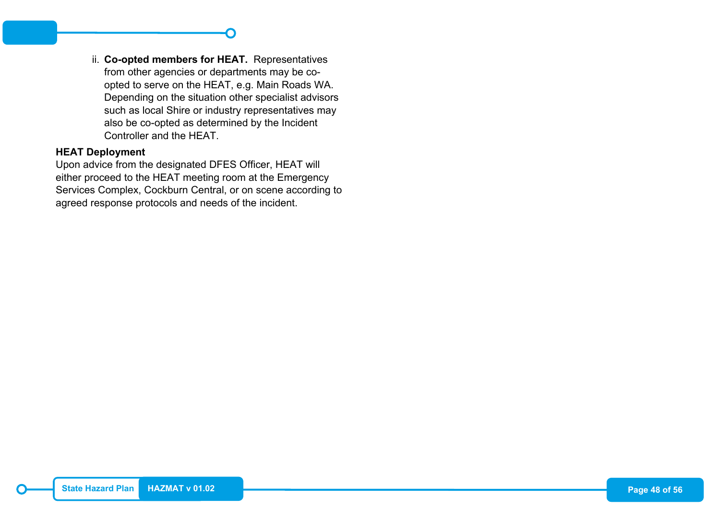ii. **Co-opted members for HEAT.** Representatives from other agencies or departments may be coopted to serve on the HEAT, e.g. Main Roads WA. Depending on the situation other specialist advisors such as local Shire or industry representatives may also be co-opted as determined by the Incident Controller and the HEAT.

#### **HEAT Deployment**

Upon advice from the designated DFES Officer, HEAT will either proceed to the HEAT meeting room at the Emergency Services Complex, Cockburn Central, or on scene according to agreed response protocols and needs of the incident.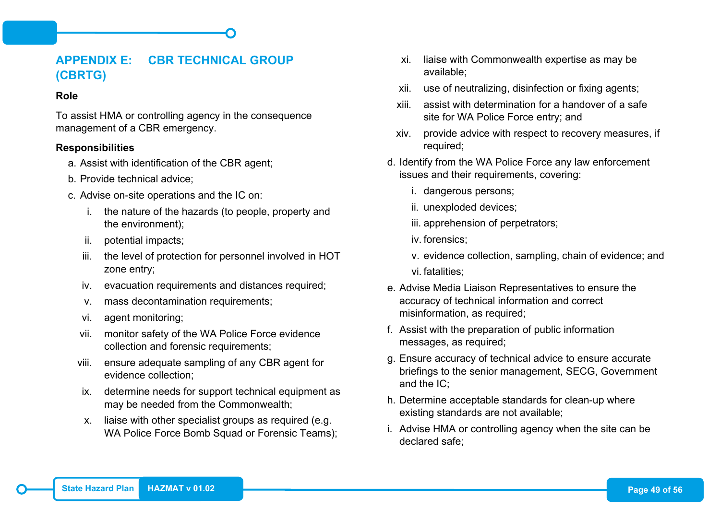## <span id="page-56-0"></span>**APPENDIX E: CBR TECHNICAL GROUP (CBRTG)**

#### **Role**

To assist HMA or controlling agency in the consequence management of a CBR emergency.

#### **Responsibilities**

- a. Assist with identification of the CBR agent;
- b. Provide technical advice;
- c. Advise on-site operations and the IC on:
	- i. the nature of the hazards (to people, property and the environment);
	- ii. potential impacts;
	- iii. the level of protection for personnel involved in HOT zone entry;
	- iv. evacuation requirements and distances required;
	- v. mass decontamination requirements;
	- vi. agent monitoring;
	- vii. monitor safety of the WA Police Force evidence collection and forensic requirements;
	- viii. ensure adequate sampling of any CBR agent for evidence collection;
	- ix. determine needs for support technical equipment as may be needed from the Commonwealth;
	- x. liaise with other specialist groups as required (e.g. WA Police Force Bomb Squad or Forensic Teams);
- xi. liaise with Commonwealth expertise as may be available;
- xii. use of neutralizing, disinfection or fixing agents;
- xiii. assist with determination for a handover of a safe site for WA Police Force entry; and
- xiv. provide advice with respect to recovery measures, if required;
- d. Identify from the WA Police Force any law enforcement issues and their requirements, covering:
	- i. dangerous persons;
	- ii. unexploded devices;
	- iii. apprehension of perpetrators;
	- iv. forensics;
	- v. evidence collection, sampling, chain of evidence; and vi. fatalities;
- e. Advise Media Liaison Representatives to ensure the accuracy of technical information and correct misinformation, as required;
- f. Assist with the preparation of public information messages, as required;
- g. Ensure accuracy of technical advice to ensure accurate briefings to the senior management, SECG, Government and the IC;
- h. Determine acceptable standards for clean-up where existing standards are not available;
- i. Advise HMA or controlling agency when the site can be declared safe;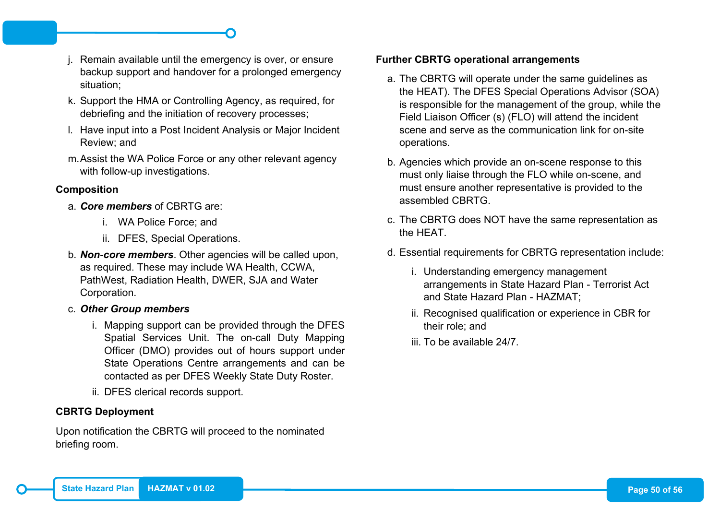- j. Remain available until the emergency is over, or ensure backup support and handover for a prolonged emergency situation;
- k. Support the HMA or Controlling Agency, as required, for debriefing and the initiation of recovery processes;
- l. Have input into a Post Incident Analysis or Major Incident Review; and
- m.Assist the WA Police Force or any other relevant agency with follow-up investigations.

## **Composition**

- a. *Core members* of CBRTG are:
	- i. WA Police Force; and
	- ii. DFES, Special Operations.
- b. *Non-core members*. Other agencies will be called upon, as required. These may include WA Health, CCWA, PathWest, Radiation Health, DWER, SJA and Water Corporation.
- c. *Other Group members*
	- i. Mapping support can be provided through the DFES Spatial Services Unit. The on-call Duty Mapping Officer (DMO) provides out of hours support under State Operations Centre arrangements and can be contacted as per DFES Weekly State Duty Roster.
	- ii. DFES clerical records support.

## **CBRTG Deployment**

Upon notification the CBRTG will proceed to the nominated briefing room.

#### **Further CBRTG operational arrangements**

- a. The CBRTG will operate under the same guidelines as the HEAT). The DFES Special Operations Advisor (SOA) is responsible for the management of the group, while the Field Liaison Officer (s) (FLO) will attend the incident scene and serve as the communication link for on-site operations.
- b. Agencies which provide an on-scene response to this must only liaise through the FLO while on-scene, and must ensure another representative is provided to the assembled CBRTG.
- c. The CBRTG does NOT have the same representation as the HEAT.
- d. Essential requirements for CBRTG representation include:
	- i. Understanding emergency management arrangements in State Hazard Plan - Terrorist Act and State Hazard Plan - HAZMAT;
	- ii. Recognised qualification or experience in CBR for their role; and
	- iii. To be available 24/7.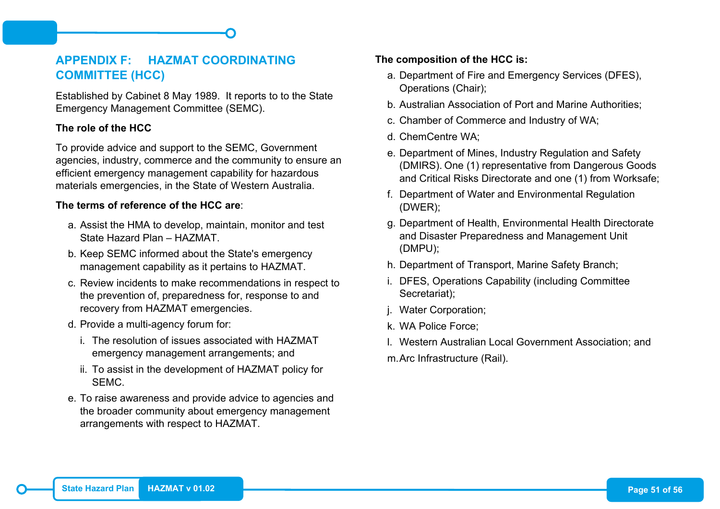## <span id="page-58-0"></span>**APPENDIX F: HAZMAT COORDINATING COMMITTEE (HCC)**

Established by Cabinet 8 May 1989. It reports to to the State Emergency Management Committee (SEMC).

## **The role of the HCC**

To provide advice and support to the SEMC, Government agencies, industry, commerce and the community to ensure an efficient emergency management capability for hazardous materials emergencies, in the State of Western Australia.

#### **The terms of reference of the HCC are**:

- a. Assist the HMA to develop, maintain, monitor and test State Hazard Plan – HAZMAT.
- b. Keep SEMC informed about the State's emergency management capability as it pertains to HAZMAT.
- c. Review incidents to make recommendations in respect to the prevention of, preparedness for, response to and recovery from HAZMAT emergencies.
- d. Provide a multi-agency forum for:
	- i. The resolution of issues associated with HAZMAT emergency management arrangements; and
	- ii. To assist in the development of HAZMAT policy for SEMC.
- e. To raise awareness and provide advice to agencies and the broader community about emergency management arrangements with respect to HAZMAT.

#### **The composition of the HCC is:**

- a. Department of Fire and Emergency Services (DFES), Operations (Chair);
- b. Australian Association of Port and Marine Authorities;
- c. Chamber of Commerce and Industry of WA;
- d. ChemCentre WA;
- e. Department of Mines, Industry Regulation and Safety (DMIRS). One (1) representative from Dangerous Goods and Critical Risks Directorate and one (1) from Worksafe;
- f. Department of Water and Environmental Regulation (DWER);
- g. Department of Health, Environmental Health Directorate and Disaster Preparedness and Management Unit (DMPU);
- h. Department of Transport, Marine Safety Branch;
- i. DFES, Operations Capability (including Committee Secretariat);
- j. Water Corporation;
- k. WA Police Force;
- l. Western Australian Local Government Association; and
- m.Arc Infrastructure (Rail).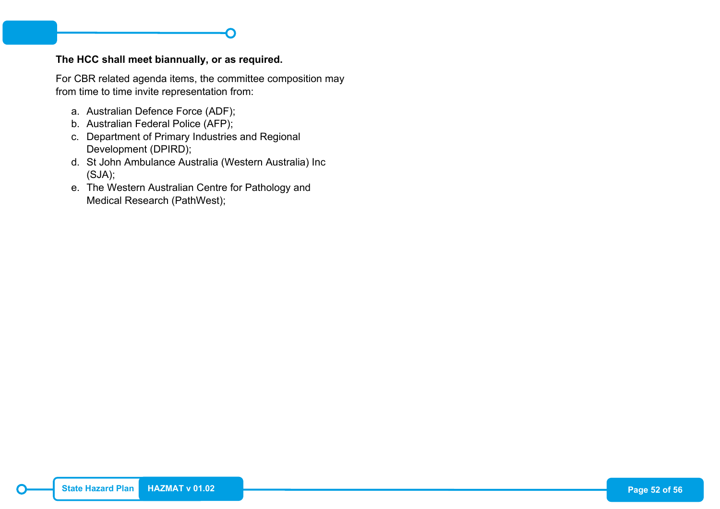#### **The HCC shall meet biannually, or as required.**

For CBR related agenda items, the committee composition may from time to time invite representation from:

- a. Australian Defence Force (ADF);
- b. Australian Federal Police (AFP);
- c. Department of Primary Industries and Regional Development (DPIRD);
- d. St John Ambulance Australia (Western Australia) Inc (SJA);
- e. The Western Australian Centre for Pathology and Medical Research (PathWest);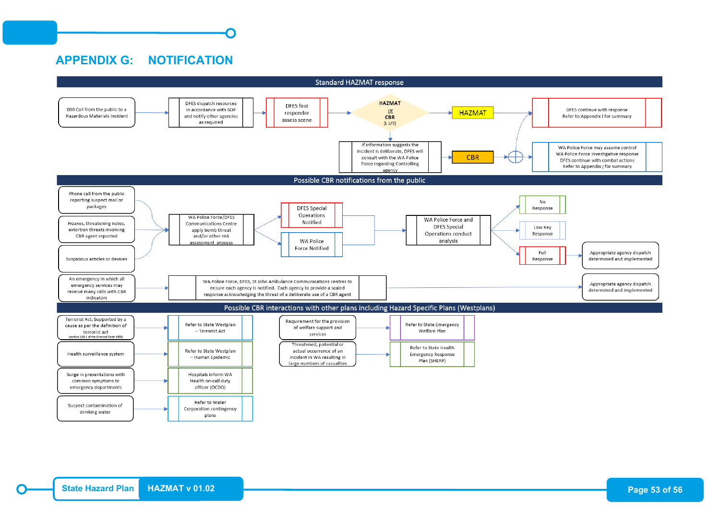## <span id="page-60-0"></span>**APPENDIX G: NOTIFICATION**

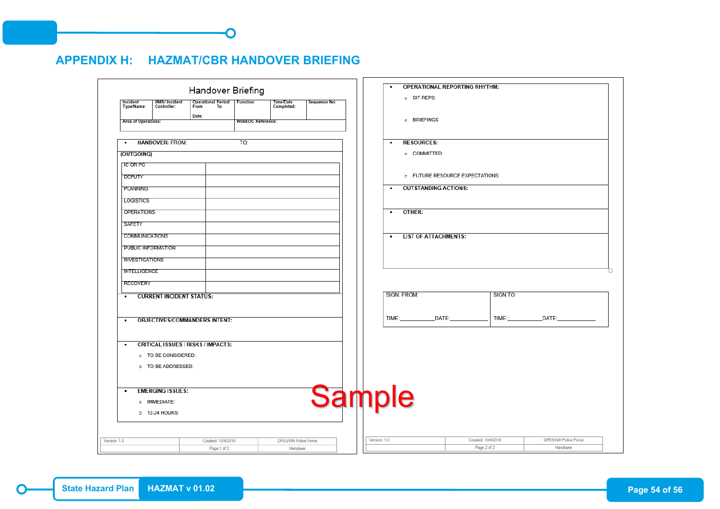## <span id="page-61-0"></span>**APPENDIX H: HAZMAT/CBR HANDOVER BRIEFING**

|                        |                                           |       | Handover Briefing                         |                         |              | o SIT REPS:                    | OPERATIONAL REPORTING RHYTHM:   |                    |                      |
|------------------------|-------------------------------------------|-------|-------------------------------------------|-------------------------|--------------|--------------------------------|---------------------------------|--------------------|----------------------|
| Incident<br>Type/Name: | <b>HMA/ Incident</b><br>Controller:       |       | Operational Period   Function:<br>From To | Time/Date<br>Completed: | Sequence No: |                                |                                 |                    |                      |
| Area of Operations:    |                                           | Date: | <b>WebEOC Reference:</b>                  |                         |              | o BRIEFINGS                    |                                 |                    |                      |
| $\bullet$              | <b>HANDOVER: FROM:</b>                    |       | TO:                                       |                         |              | <b>RESOURCES:</b><br>$\bullet$ |                                 |                    |                      |
| (OUTGOING)             |                                           |       |                                           |                         |              | o COMMITTED:                   |                                 |                    |                      |
| <b>IC OR PC</b>        |                                           |       |                                           |                         |              |                                |                                 |                    |                      |
| <b>DEPUTY</b>          |                                           |       |                                           |                         |              |                                | o FUTURE RESOURCE EXPECTATIONS: |                    |                      |
| PLANNING               |                                           |       |                                           |                         |              | $\bullet$                      | <b>OUTSTANDING ACTIONS:</b>     |                    |                      |
| LOGISTICS              |                                           |       |                                           |                         |              |                                |                                 |                    |                      |
| OPERATIONS             |                                           |       |                                           |                         |              | OTHER:<br>$\bullet$            |                                 |                    |                      |
| SAFETY                 |                                           |       |                                           |                         |              |                                |                                 |                    |                      |
| <b>COMMUNICATIONS</b>  |                                           |       |                                           |                         |              | $\bullet$                      | <b>LIST OF ATTACHMENTS:</b>     |                    |                      |
| PUBLIC INFORMATION     |                                           |       |                                           |                         |              |                                |                                 |                    |                      |
| <b>INVESTIGATIONS</b>  |                                           |       |                                           |                         |              |                                |                                 |                    |                      |
| <b>INTELLIGENCE</b>    |                                           |       |                                           |                         |              |                                |                                 |                    |                      |
| <b>RECOVERY</b>        |                                           |       |                                           |                         |              |                                |                                 |                    |                      |
|                        | • CURRENT INCIDENT STATUS:                |       |                                           |                         |              | SIGN: FROM:                    |                                 | SIGN TO:           |                      |
|                        |                                           |       |                                           |                         |              |                                |                                 |                    |                      |
| $\bullet$              | <b>OBJECTIVES/COMMANDERS INTENT:</b>      |       |                                           |                         |              | TIME:                          | DATE:                           | TIME:              | DATE:                |
|                        |                                           |       |                                           |                         |              |                                |                                 |                    |                      |
| ٠                      | <b>CRITICAL ISSUES / RISKS / IMPACTS:</b> |       |                                           |                         |              |                                |                                 |                    |                      |
|                        | o TO BE CONSIDERED:                       |       |                                           |                         |              |                                |                                 |                    |                      |
|                        | o TO BE ADDRESSED:                        |       |                                           |                         |              |                                |                                 |                    |                      |
| $\bullet$              | <b>EMERGING ISSUES:</b>                   |       |                                           |                         |              |                                |                                 |                    |                      |
|                        | o IMMEDIATE:                              |       |                                           |                         |              | <b>Sample</b>                  |                                 |                    |                      |
|                        | o 12-24 HOURS:                            |       |                                           |                         |              |                                |                                 |                    |                      |
|                        |                                           |       |                                           |                         |              |                                |                                 |                    |                      |
| Version: 1.0           |                                           |       | Created: 10/4/2018                        | DFES/WA Police Force    |              | Version: 1.0                   |                                 | Created: 10/4/2018 | DFES/WA Police Force |
|                        |                                           |       | Page 1 of 2                               | Handover                |              |                                |                                 | Page 2 of 2        | Handover             |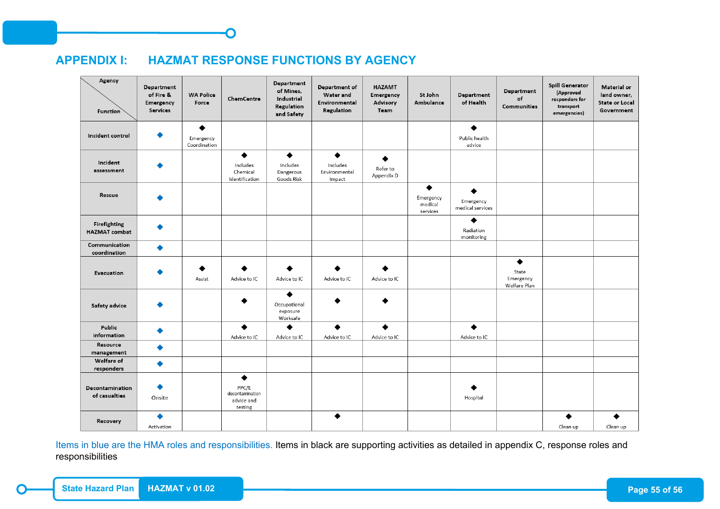## <span id="page-62-0"></span>**APPENDIX I: HAZMAT RESPONSE FUNCTIONS BY AGENCY**

| Agency<br><b>Function</b>            | Department<br>of Fire &<br>Emergency<br><b>Services</b> | <b>WA Police</b><br>Force      | ChemCentre                                             | Department<br>of Mines,<br>Industrial<br>Regulation<br>and Safety | Department of<br><b>Water and</b><br>Environmental<br>Regulation | <b>HAZAMT</b><br>Emergency<br>Advisory<br>Team | St John<br>Ambulance                  | Department<br>of Health       | Department<br>of<br><b>Communities</b>  | <b>Spill Generator</b><br>(Approved<br>responders for<br>transport<br>emergencies) | Material or<br>land owner,<br><b>State or Local</b><br>Government |
|--------------------------------------|---------------------------------------------------------|--------------------------------|--------------------------------------------------------|-------------------------------------------------------------------|------------------------------------------------------------------|------------------------------------------------|---------------------------------------|-------------------------------|-----------------------------------------|------------------------------------------------------------------------------------|-------------------------------------------------------------------|
| Incident control                     |                                                         | ٠<br>Emergency<br>Coordination |                                                        |                                                                   |                                                                  |                                                |                                       | ٠<br>Public health<br>advice  |                                         |                                                                                    |                                                                   |
| Incident<br>assessment               |                                                         |                                | ٠<br>Includes<br>Chemical<br>Identification            | ٠<br>Includes<br>Dangerous<br>Goods Risk                          | $\bullet$<br>Includes<br>Environmental<br>Impact                 | Refer to<br>Appendix D                         |                                       |                               |                                         |                                                                                    |                                                                   |
| Rescue                               |                                                         |                                |                                                        |                                                                   |                                                                  |                                                | ٠<br>Emergency<br>medical<br>services | Emergency<br>medical services |                                         |                                                                                    |                                                                   |
| Firefighting<br><b>HAZMAT</b> combat |                                                         |                                |                                                        |                                                                   |                                                                  |                                                |                                       | ٠<br>Radiation<br>monitoring  |                                         |                                                                                    |                                                                   |
| Communication<br>coordination        |                                                         |                                |                                                        |                                                                   |                                                                  |                                                |                                       |                               |                                         |                                                                                    |                                                                   |
| Evacuation                           |                                                         | Assist                         | Advice to IC                                           | Advice to IC                                                      | Advice to IC                                                     | Advice to IC                                   |                                       |                               | ٠<br>State<br>Emergency<br>Welfare Plan |                                                                                    |                                                                   |
| Safety advice                        |                                                         |                                |                                                        | ◆<br>Occupational<br>exposure<br>Worksafe                         |                                                                  |                                                |                                       |                               |                                         |                                                                                    |                                                                   |
| Public<br>information                |                                                         |                                | ▲<br>Advice to IC                                      | Advice to IC                                                      | ▲<br>Advice to IC                                                | ▲<br>Advice to IC                              |                                       | ◆<br>Advice to IC             |                                         |                                                                                    |                                                                   |
| Resource<br>management               |                                                         |                                |                                                        |                                                                   |                                                                  |                                                |                                       |                               |                                         |                                                                                    |                                                                   |
| Welfare of<br>responders             |                                                         |                                |                                                        |                                                                   |                                                                  |                                                |                                       |                               |                                         |                                                                                    |                                                                   |
| Decontamination<br>of casualties     | Onsite                                                  |                                | ٠<br>PPC/E<br>decontamination<br>advice and<br>testing |                                                                   |                                                                  |                                                |                                       | Hospital                      |                                         |                                                                                    |                                                                   |
| Recovery                             | Activation                                              |                                |                                                        |                                                                   | ٠                                                                |                                                |                                       |                               |                                         | ▲<br>Clean up                                                                      | ٠<br>Clean up                                                     |

Items in blue are the HMA roles and responsibilities. Items in black are supporting activities as detailed in appendix C, response roles and responsibilities